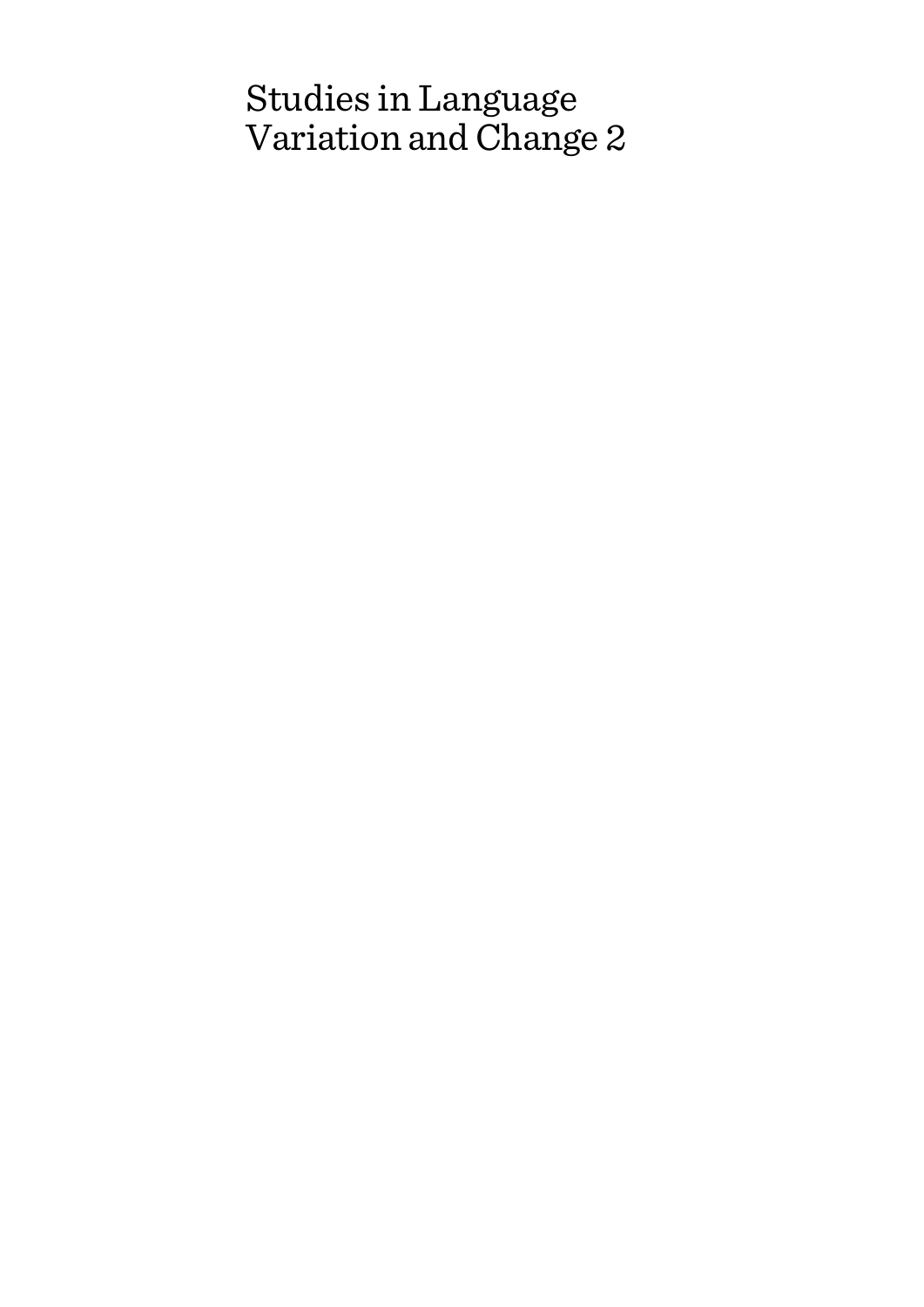# Studies in Language Variation and Change 2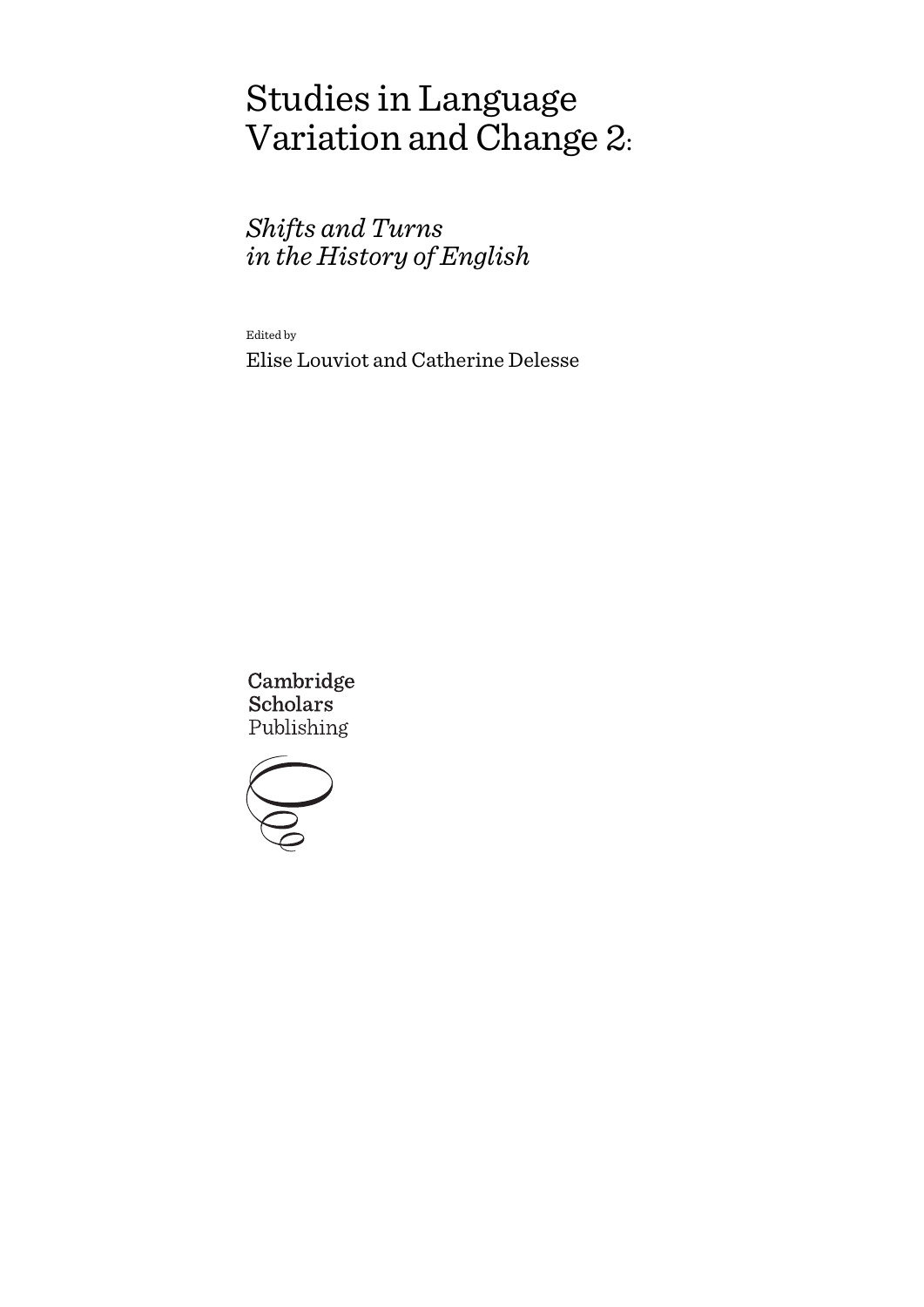# Studies in Language Variation and Change 2:

# *Shifts and Turns in the History of English*

Edited by

Elise Louviot and Catherine Delesse

Cambridge **Scholars** Publishing

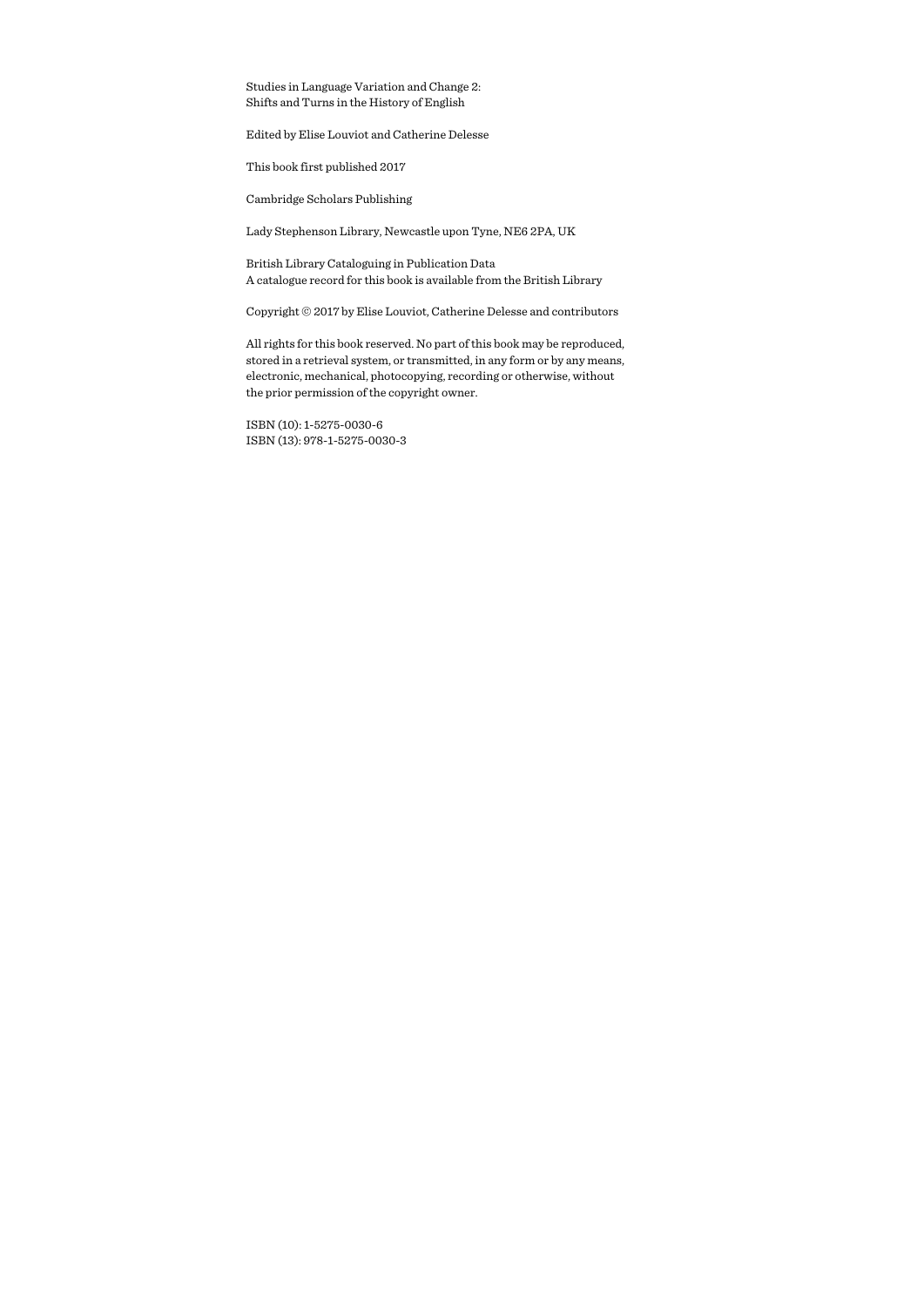Studies in Language Variation and Change 2: Shifts and Turns in the History of English

Edited by Elise Louviot and Catherine Delesse

This book first published 2017

Cambridge Scholars Publishing

Lady Stephenson Library, Newcastle upon Tyne, NE6 2PA, UK

British Library Cataloguing in Publication Data A catalogue record for this book is available from the British Library

Copyright © 2017 by Elise Louviot, Catherine Delesse and contributors

All rights for this book reserved. No part of this book may be reproduced, stored in a retrieval system, or transmitted, in any form or by any means, electronic, mechanical, photocopying, recording or otherwise, without the prior permission of the copyright owner.

ISBN (10): 1-5275-0030-6 ISBN (13): 978-1-5275-0030-3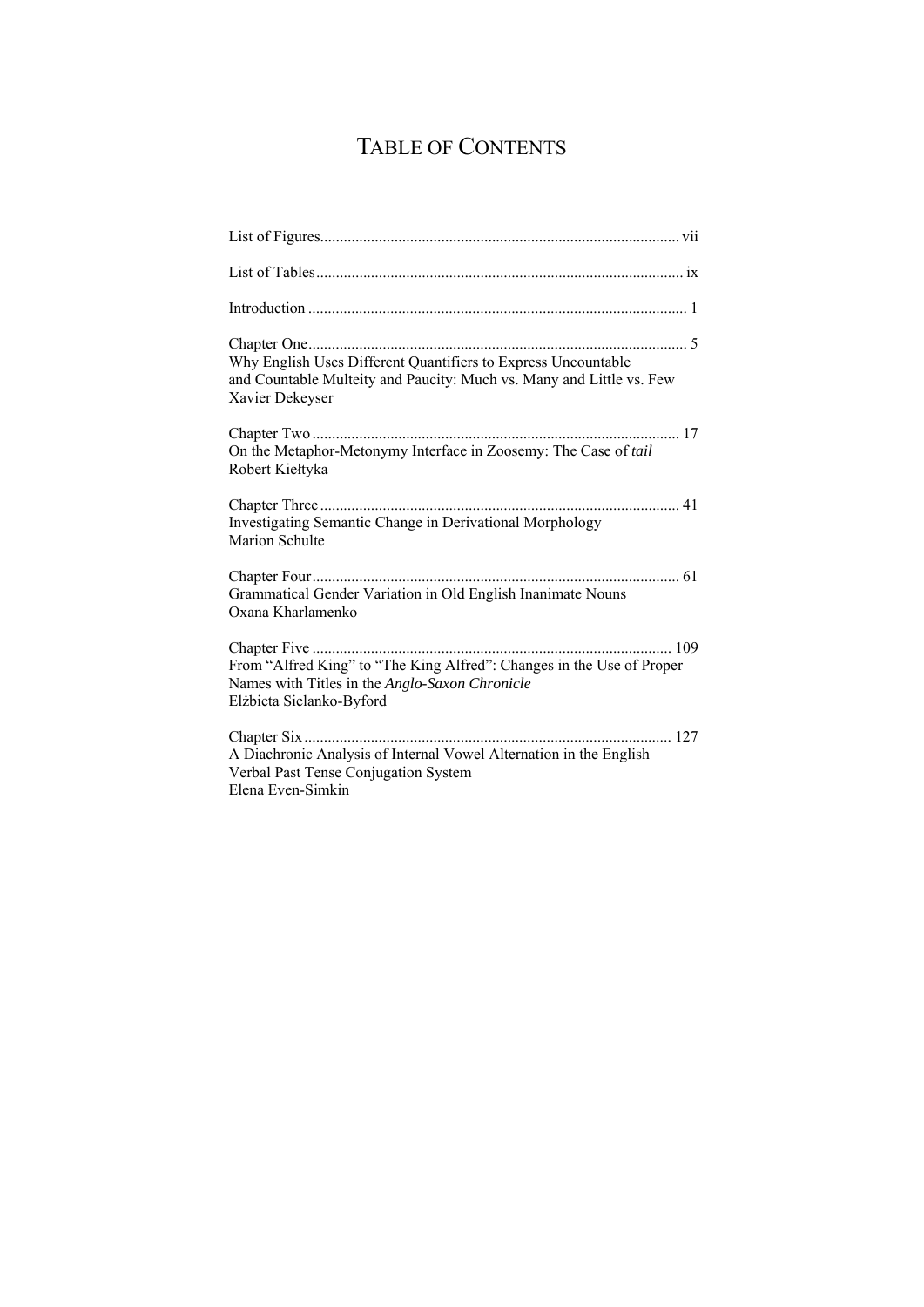# TABLE OF CONTENTS

| Why English Uses Different Quantifiers to Express Uncountable<br>and Countable Multeity and Paucity: Much vs. Many and Little vs. Few<br>Xavier Dekeyser |
|----------------------------------------------------------------------------------------------------------------------------------------------------------|
| On the Metaphor-Metonymy Interface in Zoosemy: The Case of tail<br>Robert Kiełtyka                                                                       |
| Investigating Semantic Change in Derivational Morphology<br>Marion Schulte                                                                               |
| Grammatical Gender Variation in Old English Inanimate Nouns<br>Oxana Kharlamenko                                                                         |
| From "Alfred King" to "The King Alfred": Changes in the Use of Proper<br>Names with Titles in the Anglo-Saxon Chronicle<br>Elżbieta Sielanko-Byford      |
| Chapter Six<br>A Diachronic Analysis of Internal Vowel Alternation in the English<br>Verbal Past Tense Conjugation System<br>Elena Even-Simkin           |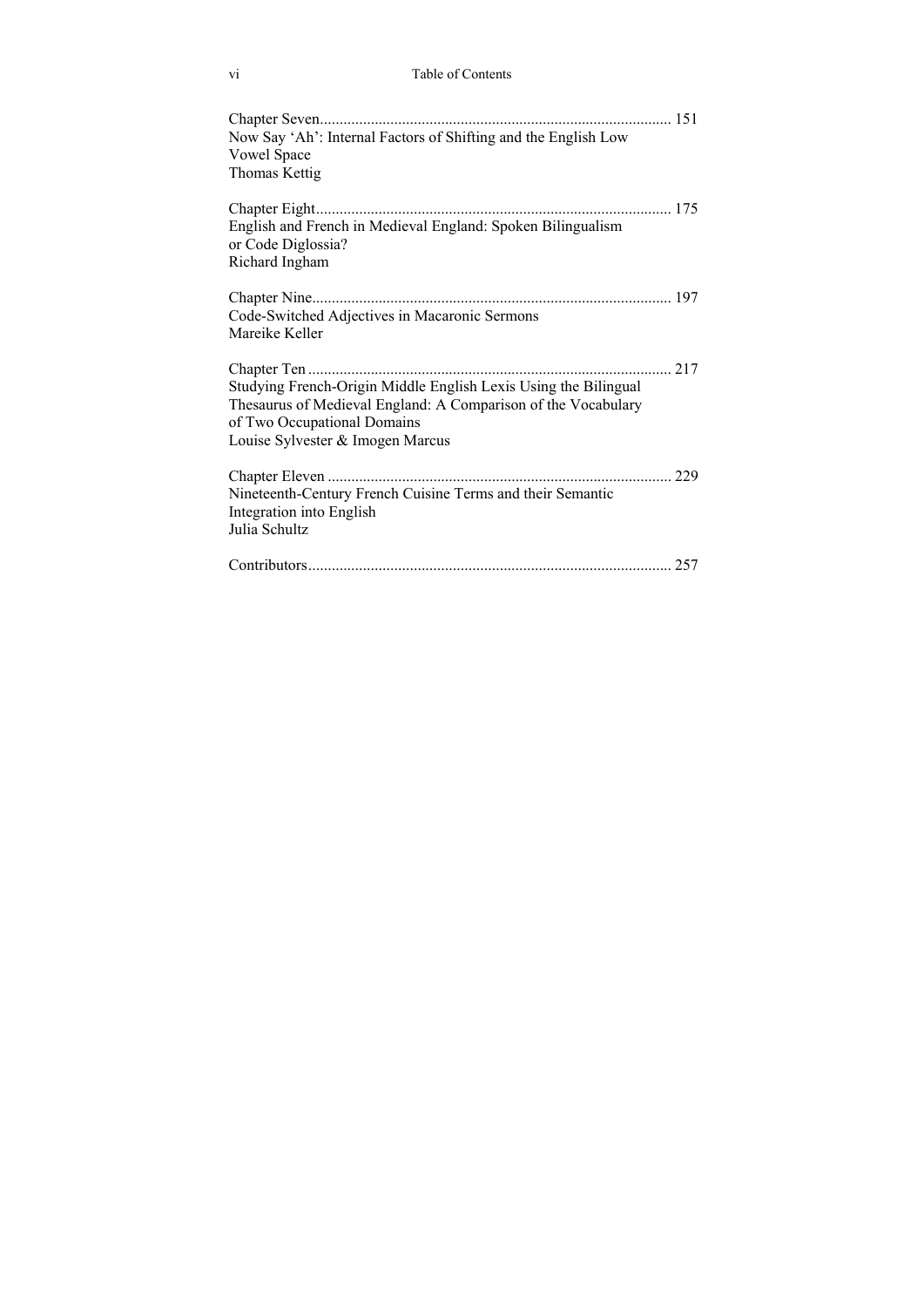| Now Say 'Ah': Internal Factors of Shifting and the English Low<br><b>Vowel Space</b><br>Thomas Kettig                                                                                               |     |
|-----------------------------------------------------------------------------------------------------------------------------------------------------------------------------------------------------|-----|
| English and French in Medieval England: Spoken Bilingualism<br>or Code Diglossia?<br>Richard Ingham                                                                                                 |     |
| Chapter Nine<br>Code-Switched Adjectives in Macaronic Sermons<br>Mareike Keller                                                                                                                     |     |
| Studying French-Origin Middle English Lexis Using the Bilingual<br>Thesaurus of Medieval England: A Comparison of the Vocabulary<br>of Two Occupational Domains<br>Louise Sylvester & Imogen Marcus | 217 |
| Nineteenth-Century French Cuisine Terms and their Semantic<br>Integration into English<br>Julia Schultz                                                                                             | 229 |
|                                                                                                                                                                                                     |     |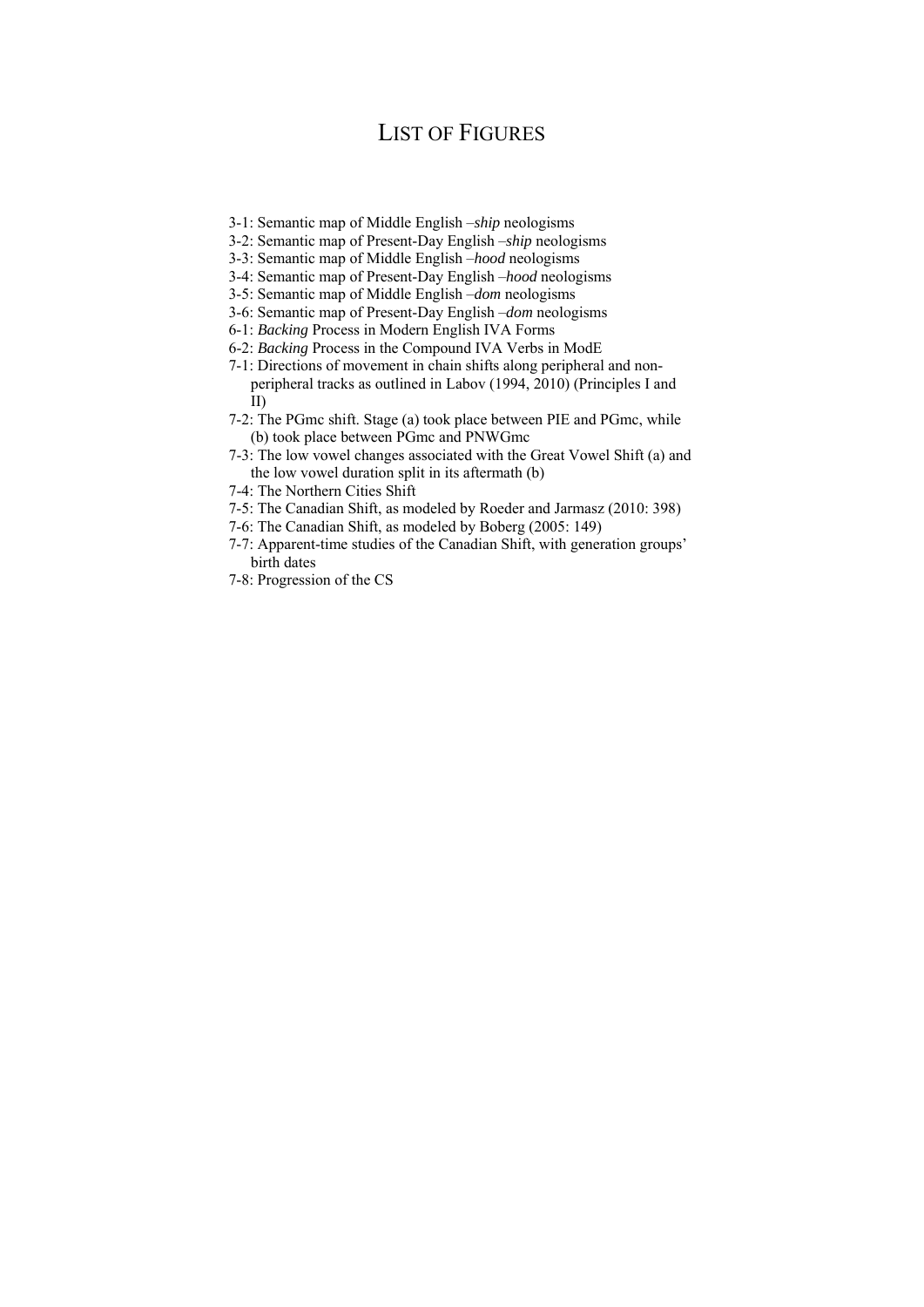# LIST OF FIGURES

- 3-1: Semantic map of Middle English ‒*ship* neologisms
- 3-2: Semantic map of Present-Day English ‒*ship* neologisms
- 3-3: Semantic map of Middle English ‒*hood* neologisms
- 3-4: Semantic map of Present-Day English *-hood* neologisms
- 3-5: Semantic map of Middle English ‒*dom* neologisms
- 3-6: Semantic map of Present-Day English ‒*dom* neologisms
- 6-1: *Backing* Process in Modern English IVA Forms
- 6-2: *Backing* Process in the Compound IVA Verbs in ModE
- 7-1: Directions of movement in chain shifts along peripheral and nonperipheral tracks as outlined in Labov (1994, 2010) (Principles I and II)
- 7-2: The PGmc shift. Stage (a) took place between PIE and PGmc, while (b) took place between PGmc and PNWGmc
- 7-3: The low vowel changes associated with the Great Vowel Shift (a) and the low vowel duration split in its aftermath (b)
- 7-4: The Northern Cities Shift
- 7-5: The Canadian Shift, as modeled by Roeder and Jarmasz (2010: 398)
- 7-6: The Canadian Shift, as modeled by Boberg (2005: 149)
- 7-7: Apparent-time studies of the Canadian Shift, with generation groups' birth dates
- 7-8: Progression of the CS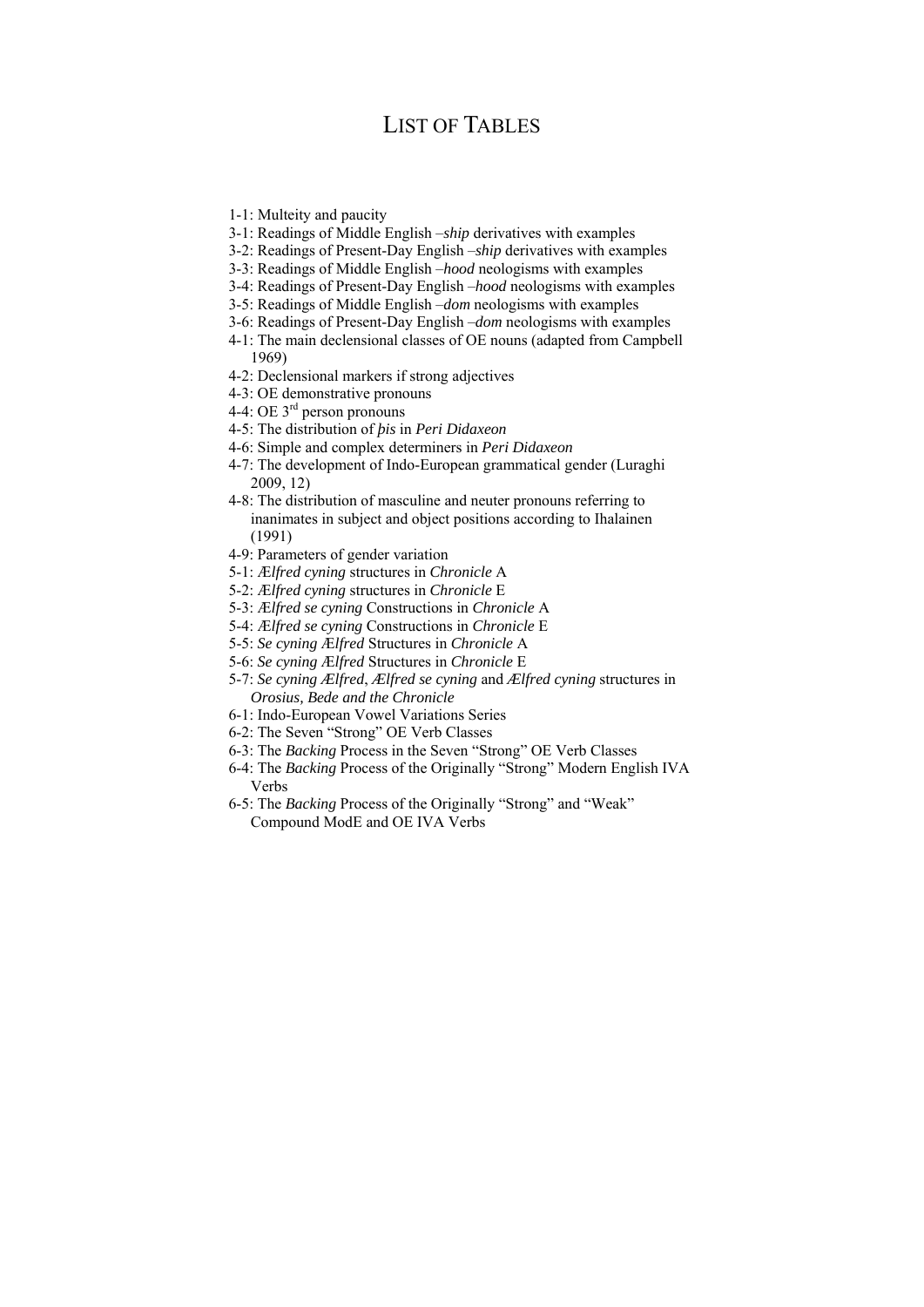## LIST OF TABLES

- 1-1: Multeity and paucity
- 3-1: Readings of Middle English ‒*ship* derivatives with examples
- 3-2: Readings of Present-Day English ‒*ship* derivatives with examples
- 3-3: Readings of Middle English ‒*hood* neologisms with examples
- 3-4: Readings of Present-Day English –*hood* neologisms with examples
- 3-5: Readings of Middle English ‒*dom* neologisms with examples
- 3-6: Readings of Present-Day English ‒*dom* neologisms with examples
- 4-1: The main declensional classes of OE nouns (adapted from Campbell 1969)
- 4-2: Declensional markers if strong adjectives
- 4-3: OE demonstrative pronouns
- 4-4: OE  $3^{\text{rd}}$  person pronouns
- 4-5: The distribution of *þis* in *Peri Didaxeon*
- 4-6: Simple and complex determiners in *Peri Didaxeon*
- 4-7: The development of Indo-European grammatical gender (Luraghi 2009, 12)
- 4-8: The distribution of masculine and neuter pronouns referring to inanimates in subject and object positions according to Ihalainen (1991)
- 4-9: Parameters of gender variation
- 5-1: Æ*lfred cyning* structures in *Chronicle* A
- 5-2: Æ*lfred cyning* structures in *Chronicle* E
- 5-3: Æ*lfred se cyning* Constructions in *Chronicle* A
- 5-4: Æ*lfred se cyning* Constructions in *Chronicle* E
- 5-5: *Se cyning* Æ*lfred* Structures in *Chronicle* A
- 5-6: *Se cyning* Æ*lfred* Structures in *Chronicle* E
- 5-7: *Se cyning Ælfred*, *Ælfred se cyning* and *Ælfred cyning* structures in *Orosius, Bede and the Chronicle*
- 6-1: Indo-European Vowel Variations Series
- 6-2: The Seven "Strong" OE Verb Classes
- 6-3: The *Backing* Process in the Seven "Strong" OE Verb Classes
- 6-4: The *Backing* Process of the Originally "Strong" Modern English IVA Verbs
- 6-5: The *Backing* Process of the Originally "Strong" and "Weak" Compound ModE and OE IVA Verbs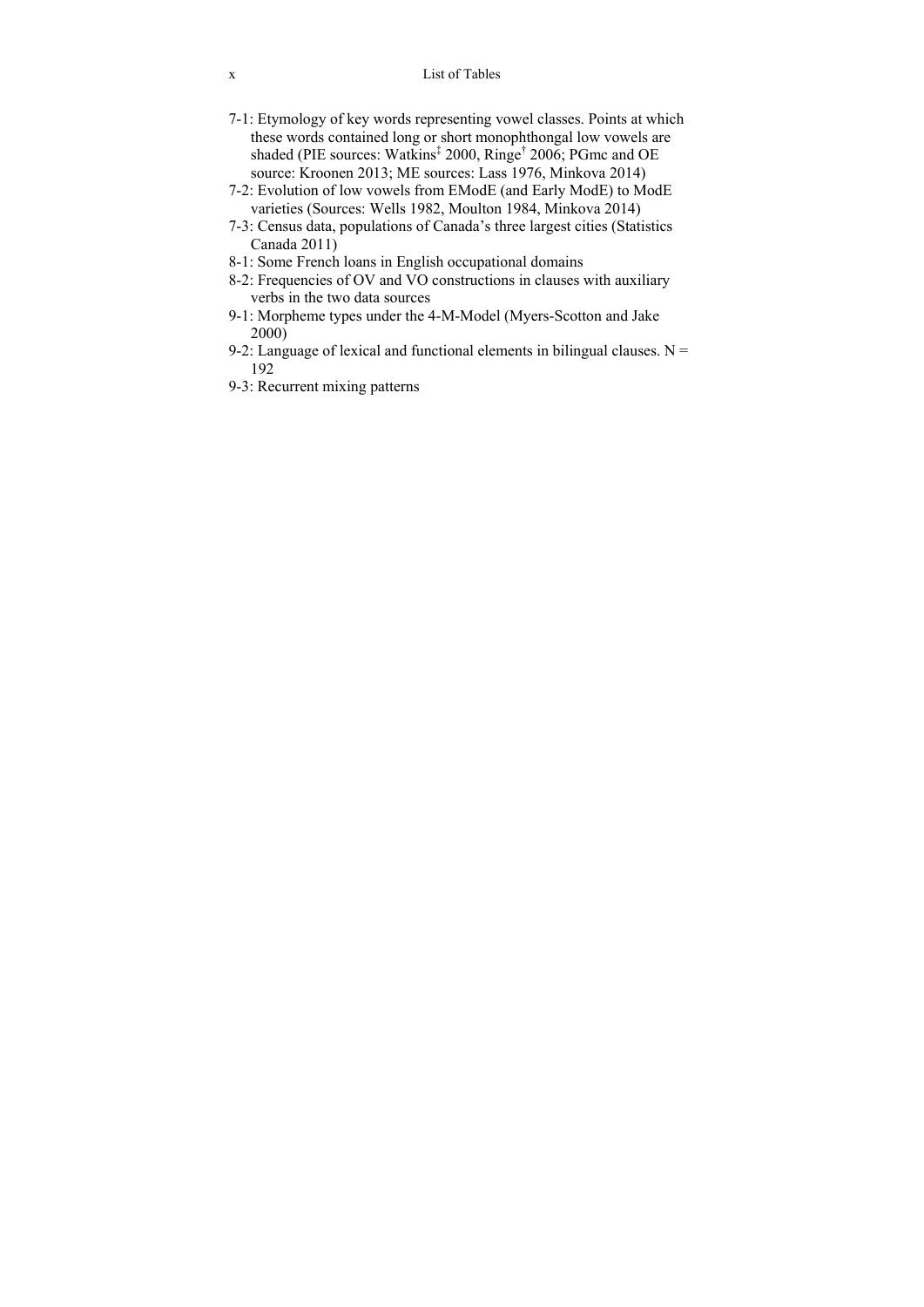- 7-1: Etymology of key words representing vowel classes. Points at which these words contained long or short monophthongal low vowels are shaded (PIE sources: Watkins<sup>‡</sup> 2000, Ringe<sup>†</sup> 2006; PGmc and OE source: Kroonen 2013; ME sources: Lass 1976, Minkova 2014)
- 7-2: Evolution of low vowels from EModE (and Early ModE) to ModE varieties (Sources: Wells 1982, Moulton 1984, Minkova 2014)
- 7-3: Census data, populations of Canada's three largest cities (Statistics Canada 2011)
- 8-1: Some French loans in English occupational domains
- 8-2: Frequencies of OV and VO constructions in clauses with auxiliary verbs in the two data sources
- 9-1: Morpheme types under the 4-M-Model (Myers-Scotton and Jake 2000)
- 9-2: Language of lexical and functional elements in bilingual clauses.  $N =$ 192
- 9-3: Recurrent mixing patterns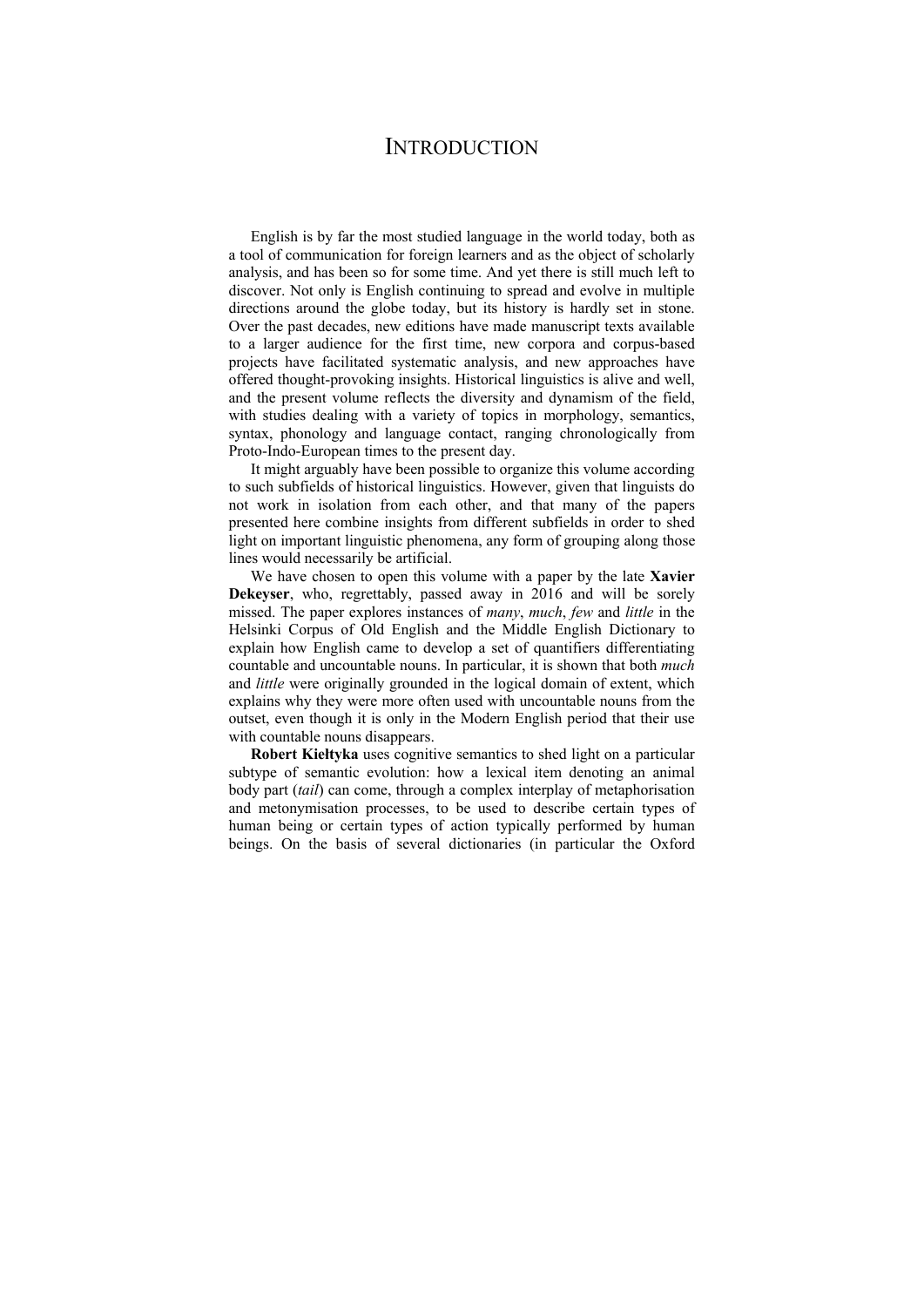### **INTRODUCTION**

English is by far the most studied language in the world today, both as a tool of communication for foreign learners and as the object of scholarly analysis, and has been so for some time. And yet there is still much left to discover. Not only is English continuing to spread and evolve in multiple directions around the globe today, but its history is hardly set in stone. Over the past decades, new editions have made manuscript texts available to a larger audience for the first time, new corpora and corpus-based projects have facilitated systematic analysis, and new approaches have offered thought-provoking insights. Historical linguistics is alive and well, and the present volume reflects the diversity and dynamism of the field, with studies dealing with a variety of topics in morphology, semantics, syntax, phonology and language contact, ranging chronologically from Proto-Indo-European times to the present day.

It might arguably have been possible to organize this volume according to such subfields of historical linguistics. However, given that linguists do not work in isolation from each other, and that many of the papers presented here combine insights from different subfields in order to shed light on important linguistic phenomena, any form of grouping along those lines would necessarily be artificial.

We have chosen to open this volume with a paper by the late **Xavier Dekeyser**, who, regrettably, passed away in 2016 and will be sorely missed. The paper explores instances of *many*, *much*, *few* and *little* in the Helsinki Corpus of Old English and the Middle English Dictionary to explain how English came to develop a set of quantifiers differentiating countable and uncountable nouns. In particular, it is shown that both *much* and *little* were originally grounded in the logical domain of extent, which explains why they were more often used with uncountable nouns from the outset, even though it is only in the Modern English period that their use with countable nouns disappears.

**Robert Kiełtyka** uses cognitive semantics to shed light on a particular subtype of semantic evolution: how a lexical item denoting an animal body part (*tail*) can come, through a complex interplay of metaphorisation and metonymisation processes, to be used to describe certain types of human being or certain types of action typically performed by human beings. On the basis of several dictionaries (in particular the Oxford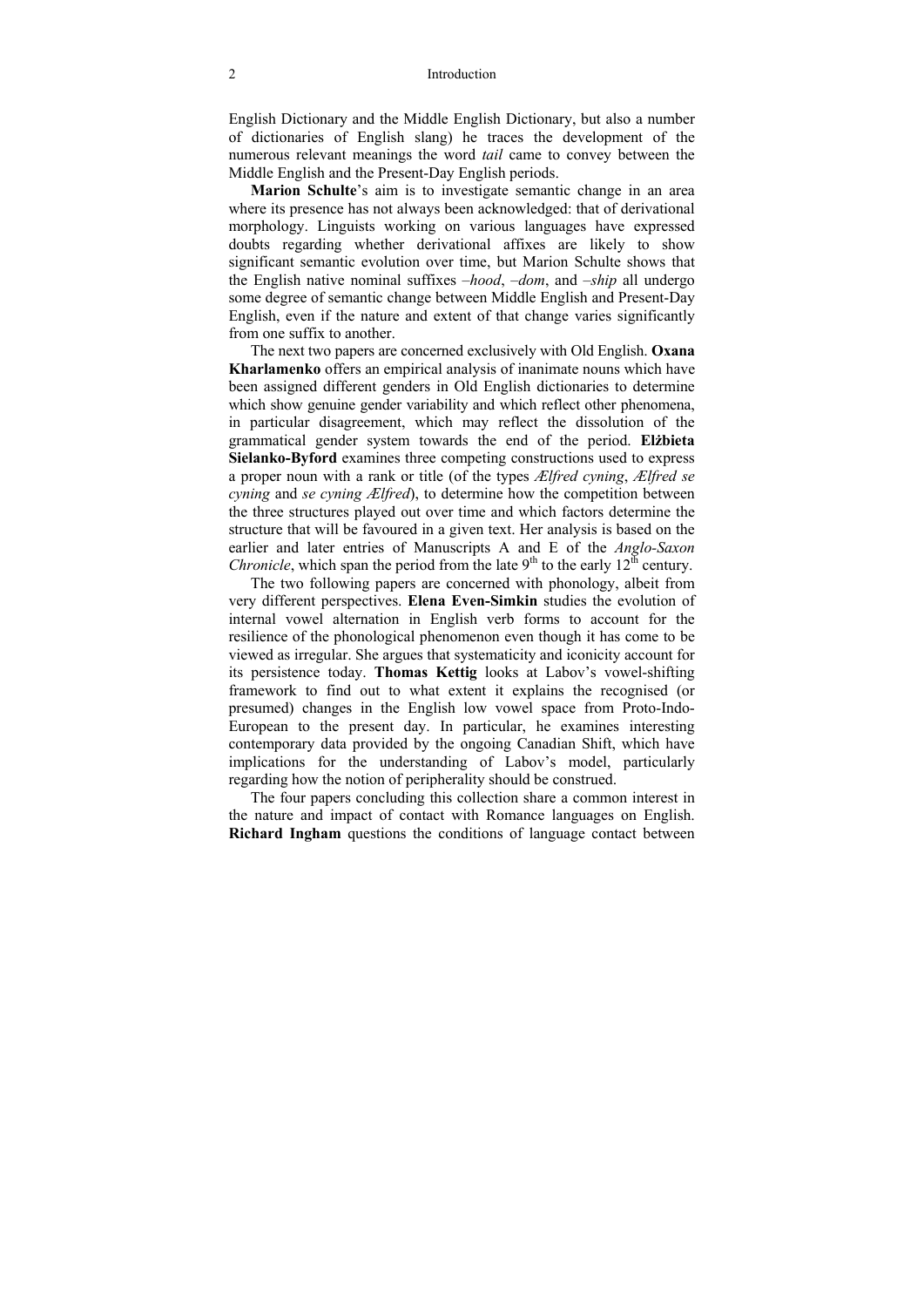English Dictionary and the Middle English Dictionary, but also a number of dictionaries of English slang) he traces the development of the numerous relevant meanings the word *tail* came to convey between the Middle English and the Present-Day English periods.

**Marion Schulte**'s aim is to investigate semantic change in an area where its presence has not always been acknowledged: that of derivational morphology. Linguists working on various languages have expressed doubts regarding whether derivational affixes are likely to show significant semantic evolution over time, but Marion Schulte shows that the English native nominal suffixes *-hood*, -*dom*, and -*ship* all undergo some degree of semantic change between Middle English and Present-Day English, even if the nature and extent of that change varies significantly from one suffix to another.

The next two papers are concerned exclusively with Old English. **Oxana Kharlamenko** offers an empirical analysis of inanimate nouns which have been assigned different genders in Old English dictionaries to determine which show genuine gender variability and which reflect other phenomena, in particular disagreement, which may reflect the dissolution of the grammatical gender system towards the end of the period. **Elżbieta Sielanko-Byford** examines three competing constructions used to express a proper noun with a rank or title (of the types *Ælfred cyning*, *Ælfred se cyning* and *se cyning Ælfred*), to determine how the competition between the three structures played out over time and which factors determine the structure that will be favoured in a given text. Her analysis is based on the earlier and later entries of Manuscripts A and E of the *Anglo-Saxon Chronicle*, which span the period from the late  $9<sup>th</sup>$  to the early  $12<sup>th</sup>$  century.

The two following papers are concerned with phonology, albeit from very different perspectives. **Elena Even-Simkin** studies the evolution of internal vowel alternation in English verb forms to account for the resilience of the phonological phenomenon even though it has come to be viewed as irregular. She argues that systematicity and iconicity account for its persistence today. **Thomas Kettig** looks at Labov's vowel-shifting framework to find out to what extent it explains the recognised (or presumed) changes in the English low vowel space from Proto-Indo-European to the present day. In particular, he examines interesting contemporary data provided by the ongoing Canadian Shift, which have implications for the understanding of Labov's model, particularly regarding how the notion of peripherality should be construed.

The four papers concluding this collection share a common interest in the nature and impact of contact with Romance languages on English. **Richard Ingham** questions the conditions of language contact between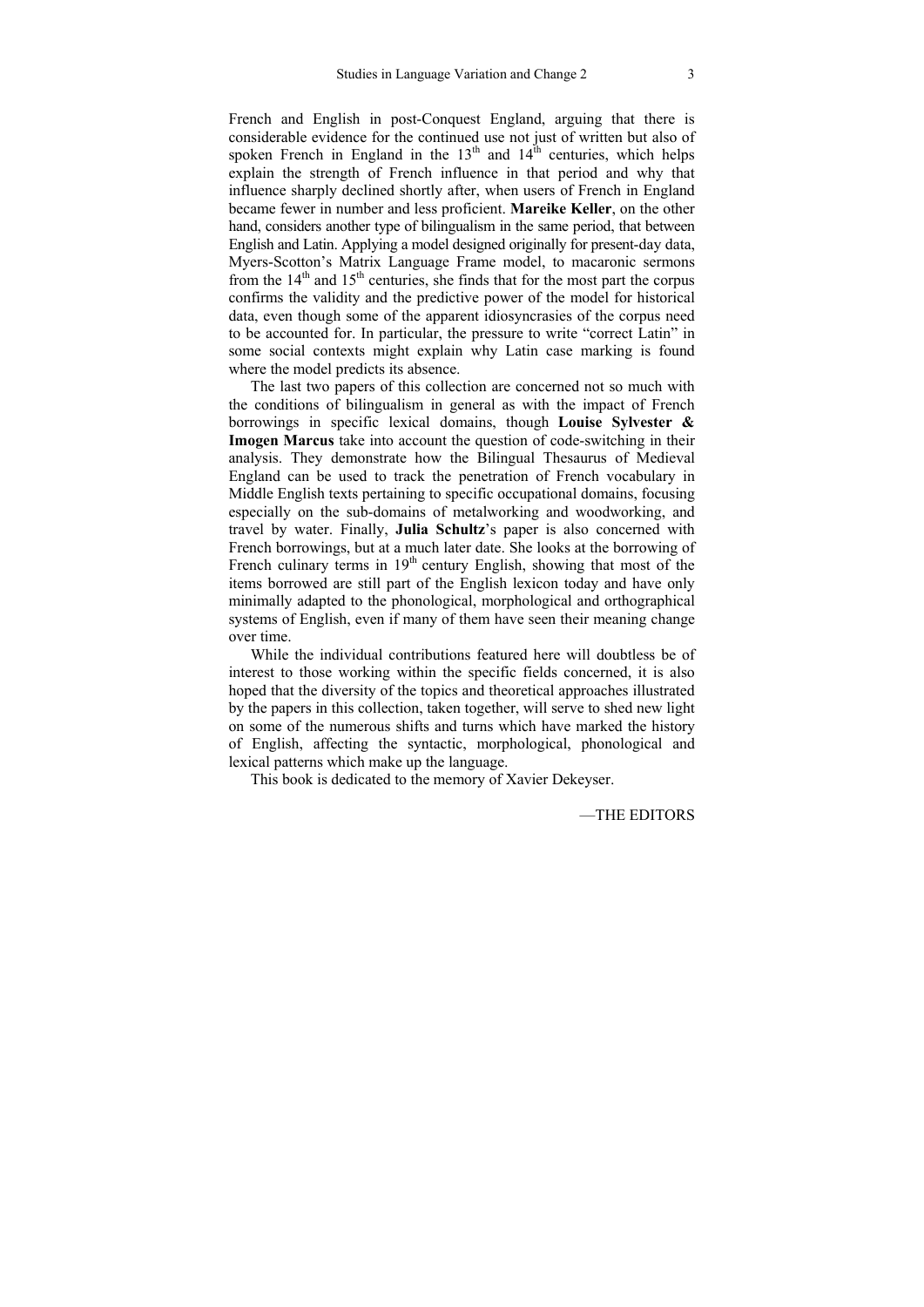French and English in post-Conquest England, arguing that there is considerable evidence for the continued use not just of written but also of spoken French in England in the  $13<sup>th</sup>$  and  $14<sup>th</sup>$  centuries, which helps explain the strength of French influence in that period and why that influence sharply declined shortly after, when users of French in England became fewer in number and less proficient. **Mareike Keller**, on the other hand, considers another type of bilingualism in the same period, that between English and Latin. Applying a model designed originally for present-day data, Myers-Scotton's Matrix Language Frame model, to macaronic sermons from the  $14<sup>th</sup>$  and  $15<sup>th</sup>$  centuries, she finds that for the most part the corpus confirms the validity and the predictive power of the model for historical data, even though some of the apparent idiosyncrasies of the corpus need to be accounted for. In particular, the pressure to write "correct Latin" in some social contexts might explain why Latin case marking is found where the model predicts its absence.

The last two papers of this collection are concerned not so much with the conditions of bilingualism in general as with the impact of French borrowings in specific lexical domains, though **Louise Sylvester & Imogen Marcus** take into account the question of code-switching in their analysis. They demonstrate how the Bilingual Thesaurus of Medieval England can be used to track the penetration of French vocabulary in Middle English texts pertaining to specific occupational domains, focusing especially on the sub-domains of metalworking and woodworking, and travel by water. Finally, **Julia Schultz**'s paper is also concerned with French borrowings, but at a much later date. She looks at the borrowing of French culinary terms in  $19<sup>th</sup>$  century English, showing that most of the items borrowed are still part of the English lexicon today and have only minimally adapted to the phonological, morphological and orthographical systems of English, even if many of them have seen their meaning change over time.

While the individual contributions featured here will doubtless be of interest to those working within the specific fields concerned, it is also hoped that the diversity of the topics and theoretical approaches illustrated by the papers in this collection, taken together, will serve to shed new light on some of the numerous shifts and turns which have marked the history of English, affecting the syntactic, morphological, phonological and lexical patterns which make up the language.

This book is dedicated to the memory of Xavier Dekeyser.

—THE EDITORS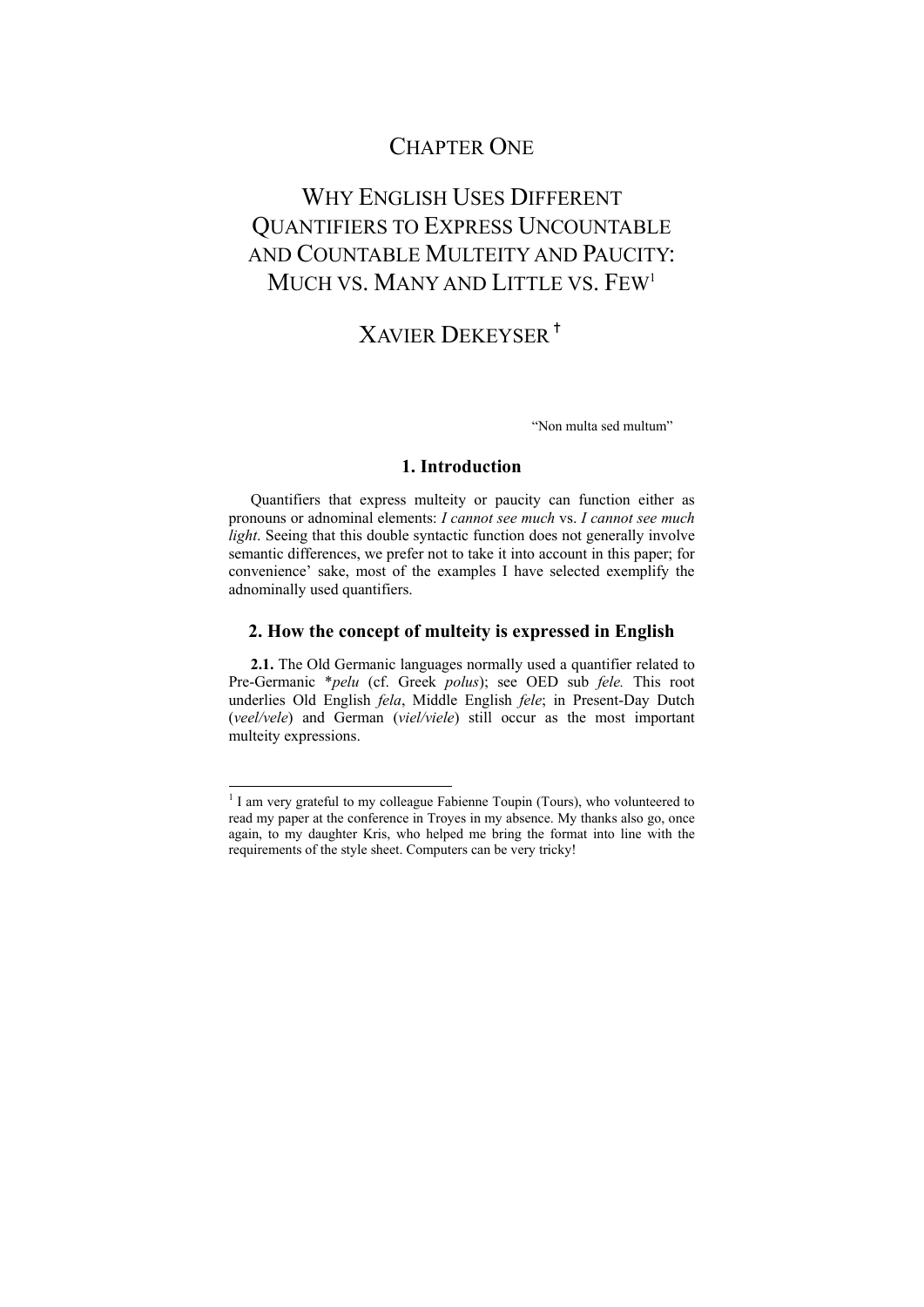# CHAPTER ONE

# WHY ENGLISH USES DIFFERENT QUANTIFIERS TO EXPRESS UNCOUNTABLE AND COUNTABLE MULTEITY AND PAUCITY: MUCH VS. MANY AND LITTLE VS. FEW<sup>1</sup>

# XAVIER DEKEYSER✝

"Non multa sed multum"

### **1. Introduction**

Quantifiers that express multeity or paucity can function either as pronouns or adnominal elements: *I cannot see much* vs. *I cannot see much light*. Seeing that this double syntactic function does not generally involve semantic differences, we prefer not to take it into account in this paper; for convenience' sake, most of the examples I have selected exemplify the adnominally used quantifiers.

### **2. How the concept of multeity is expressed in English**

**2.1.** The Old Germanic languages normally used a quantifier related to Pre-Germanic \**pelu* (cf. Greek *polus*); see OED sub *fele.* This root underlies Old English *fela*, Middle English *fele*; in Present-Day Dutch (*veel/vele*) and German (*viel/viele*) still occur as the most important multeity expressions.

l

<sup>&</sup>lt;sup>1</sup> I am very grateful to my colleague Fabienne Toupin (Tours), who volunteered to read my paper at the conference in Troyes in my absence. My thanks also go, once again, to my daughter Kris, who helped me bring the format into line with the requirements of the style sheet. Computers can be very tricky!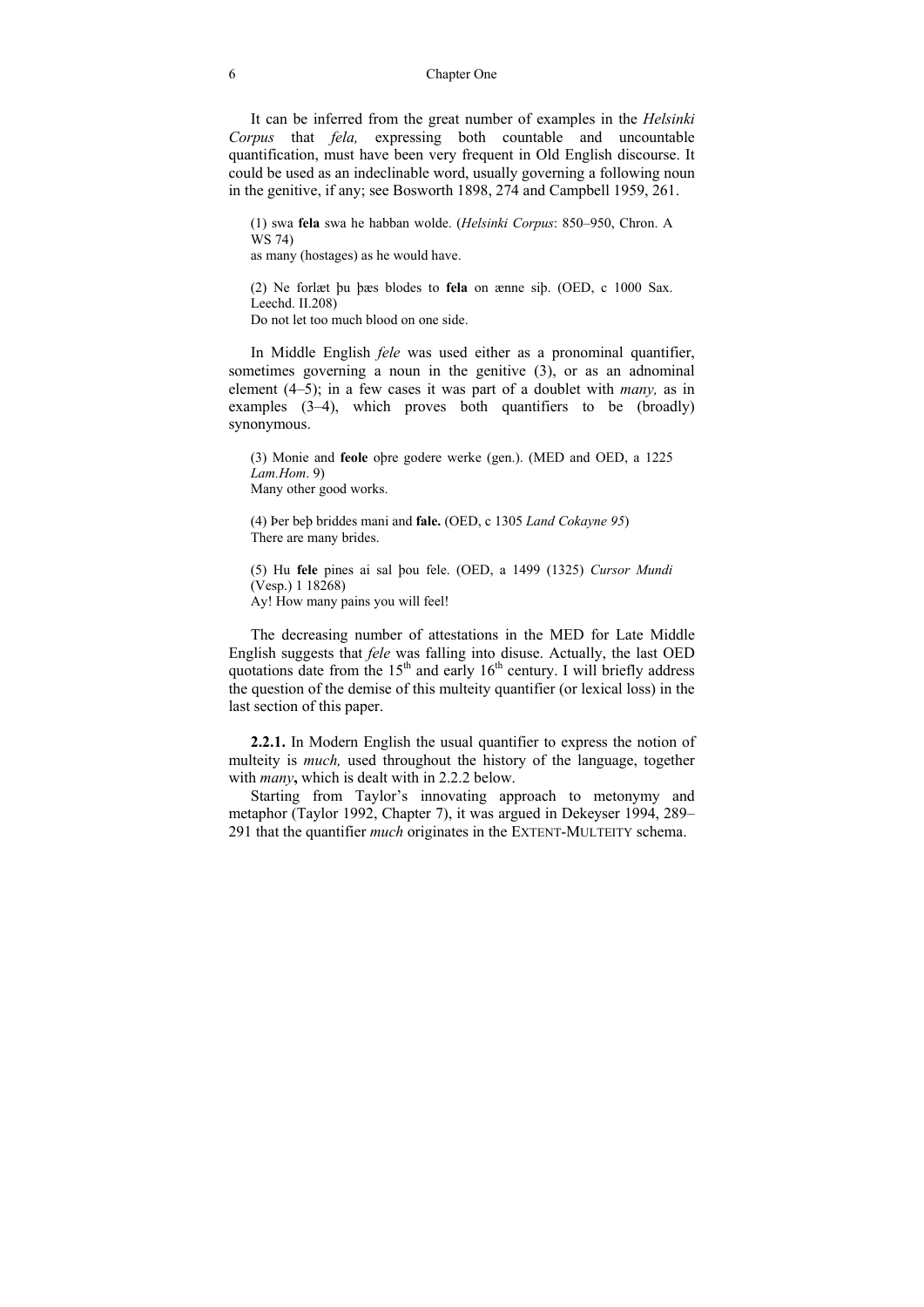It can be inferred from the great number of examples in the *Helsinki Corpus* that *fela,* expressing both countable and uncountable quantification, must have been very frequent in Old English discourse. It could be used as an indeclinable word, usually governing a following noun in the genitive, if any; see Bosworth 1898, 274 and Campbell 1959, 261.

(1) swa **fela** swa he habban wolde. (*Helsinki Corpus*: 850–950, Chron. A WS 74) as many (hostages) as he would have.

(2) Ne forlæt þu þæs blodes to **fela** on ænne siþ. (OED, c 1000 Sax. Leechd. II.208) Do not let too much blood on one side.

In Middle English *fele* was used either as a pronominal quantifier, sometimes governing a noun in the genitive (3), or as an adnominal element (4–5); in a few cases it was part of a doublet with *many,* as in examples (3–4), which proves both quantifiers to be (broadly) synonymous.

(3) Monie and **feole** oþre godere werke (gen.). (MED and OED, a 1225 *Lam.Hom*. 9) Many other good works.

(4) Þer beþ briddes mani and **fale.** (OED, c 1305 *Land Cokayne 95*) There are many brides.

(5) Hu **fele** pines ai sal þou fele. (OED, a 1499 (1325) *Cursor Mundi*  (Vesp.) 1 18268) Ay! How many pains you will feel!

The decreasing number of attestations in the MED for Late Middle English suggests that *fele* was falling into disuse. Actually, the last OED quotations date from the  $15<sup>th</sup>$  and early  $16<sup>th</sup>$  century. I will briefly address the question of the demise of this multeity quantifier (or lexical loss) in the last section of this paper.

**2.2.1.** In Modern English the usual quantifier to express the notion of multeity is *much,* used throughout the history of the language, together with *many***,** which is dealt with in 2.2.2 below.

Starting from Taylor's innovating approach to metonymy and metaphor (Taylor 1992, Chapter 7), it was argued in Dekeyser 1994, 289– 291 that the quantifier *much* originates in the EXTENT-MULTEITY schema.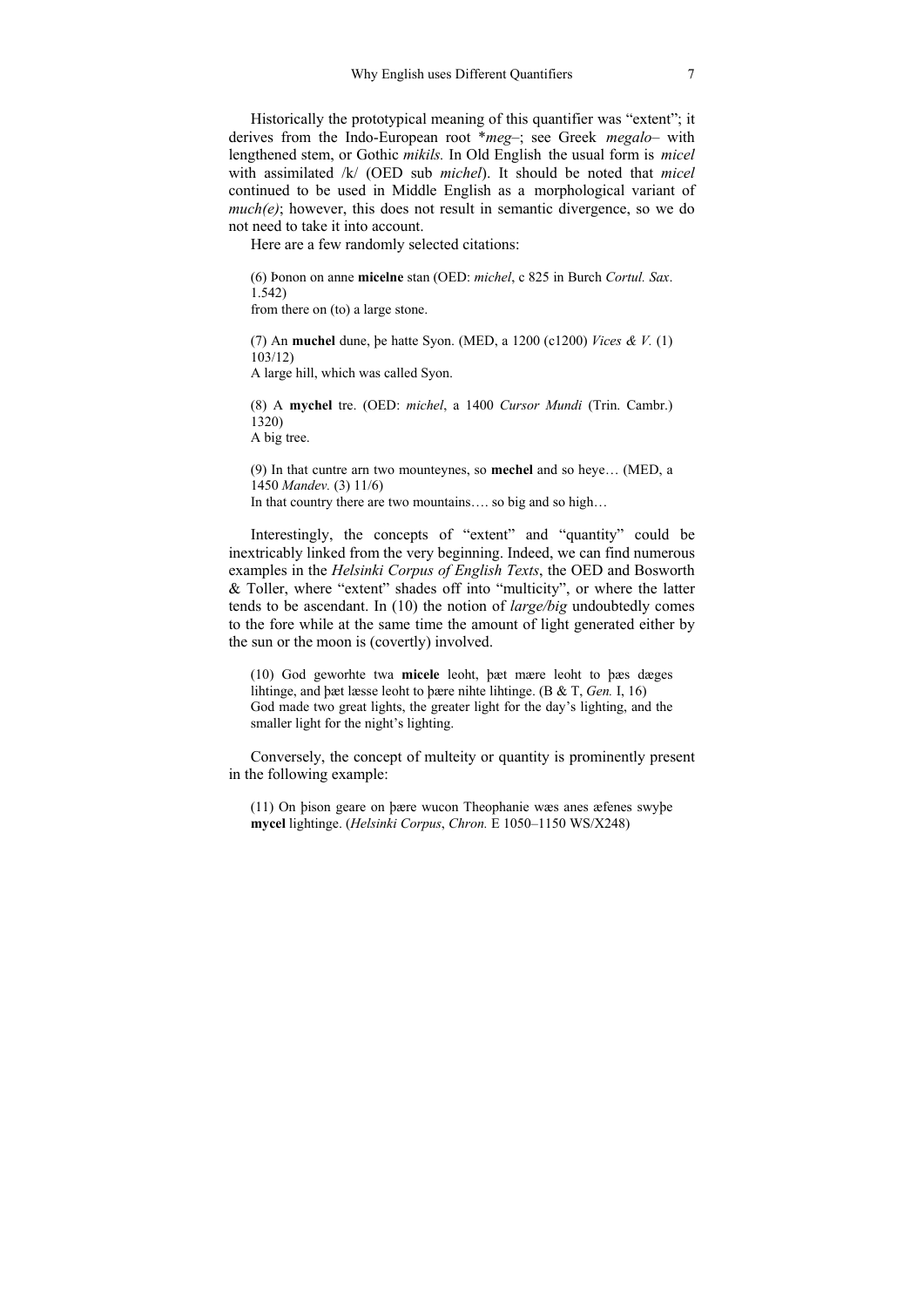Historically the prototypical meaning of this quantifier was "extent"; it derives from the Indo-European root \**meg‒*; see Greek *megalo–* with lengthened stem, or Gothic *mikils.* In Old English the usual form is *micel*  with assimilated /k/ (OED sub *michel*). It should be noted that *micel* continued to be used in Middle English as a morphological variant of  $much(e)$ ; however, this does not result in semantic divergence, so we do not need to take it into account.

Here are a few randomly selected citations:

(6) Þonon on anne **micelne** stan (OED: *michel*, c 825 in Burch *Cortul. Sax*. 1.542) from there on (to) a large stone.

(7) An **muchel** dune, þe hatte Syon. (MED, a 1200 (c1200) *Vices & V.* (1) 103/12) A large hill, which was called Syon.

(8) A **mychel** tre. (OED: *michel*, a 1400 *Cursor Mundi* (Trin. Cambr.) 1320) A big tree.

(9) In that cuntre arn two mounteynes, so **mechel** and so heye… (MED, a 1450 *Mandev.* (3) 11/6) In that country there are two mountains.... so big and so high...

Interestingly, the concepts of "extent" and "quantity" could be inextricably linked from the very beginning. Indeed, we can find numerous examples in the *Helsinki Corpus of English Texts*, the OED and Bosworth & Toller, where "extent" shades off into "multicity", or where the latter tends to be ascendant. In (10) the notion of *large/big* undoubtedly comes to the fore while at the same time the amount of light generated either by the sun or the moon is (covertly) involved.

(10) God geworhte twa **micele** leoht, þæt mære leoht to þæs dæges lihtinge, and þæt læsse leoht to þære nihte lihtinge. (B & T, *Gen.* I, 16) God made two great lights, the greater light for the day's lighting, and the smaller light for the night's lighting.

Conversely, the concept of multeity or quantity is prominently present in the following example:

(11) On þison geare on þære wucon Theophanie wæs anes æfenes swyþe **mycel** lightinge. (*Helsinki Corpus*, *Chron.* E 1050*‒*1150 WS/X248)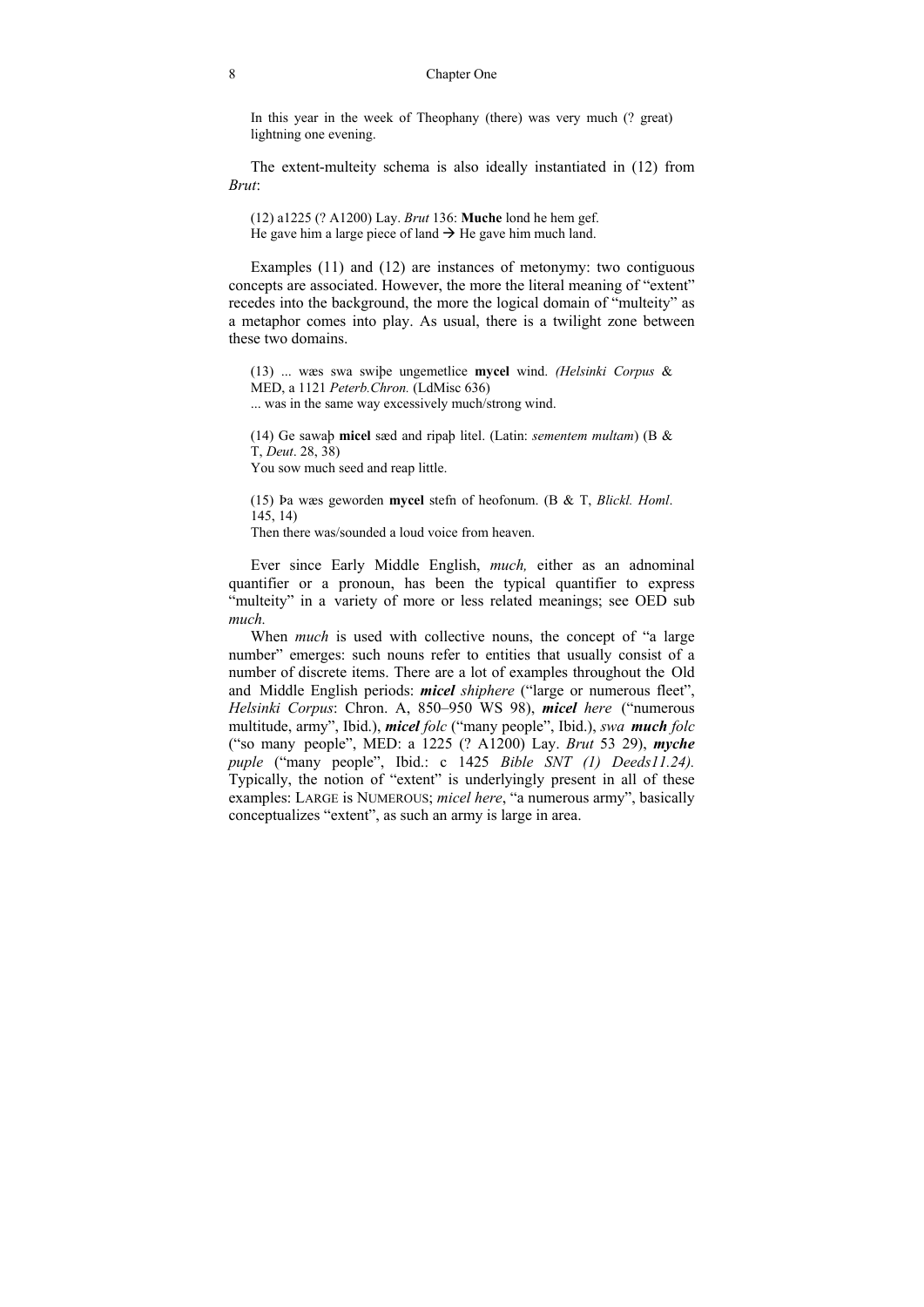#### 8 Chapter One

In this year in the week of Theophany (there) was very much (? great) lightning one evening.

The extent-multeity schema is also ideally instantiated in (12) from *Brut*:

(12) a1225 (? A1200) Lay. *Brut* 136: **Muche** lond he hem gef. He gave him a large piece of land  $\rightarrow$  He gave him much land.

Examples (11) and (12) are instances of metonymy: two contiguous concepts are associated. However, the more the literal meaning of "extent" recedes into the background, the more the logical domain of "multeity" as a metaphor comes into play. As usual, there is a twilight zone between these two domains.

(13) ... wæs swa swiþe ungemetlice **mycel** wind. *(Helsinki Corpus* & MED, a 1121 *Peterb.Chron.* (LdMisc 636) ... was in the same way excessively much/strong wind.

(14) Ge sawaþ **micel** sæd and ripaþ litel. (Latin: *sementem multam*) (B & T, *Deut*. 28, 38) You sow much seed and reap little.

(15) Þa wæs geworden **mycel** stefn of heofonum. (B & T, *Blickl. Homl*. 145, 14) Then there was/sounded a loud voice from heaven.

Ever since Early Middle English, *much,* either as an adnominal quantifier or a pronoun, has been the typical quantifier to express "multeity" in a variety of more or less related meanings; see OED sub *much.*

When *much* is used with collective nouns, the concept of "a large" number" emerges: such nouns refer to entities that usually consist of a number of discrete items. There are a lot of examples throughout the Old and Middle English periods: *micel shiphere* ("large or numerous fleet", *Helsinki Corpus*: Chron. A, 850–950 WS 98), *micel here* ("numerous multitude, army", Ibid.), *micel folc* ("many people", Ibid.), *swa much folc* ("so many people", MED: a 1225 (? A1200) Lay. *Brut* 53 29), *myche puple* ("many people", Ibid.: c 1425 *Bible SNT (1) Deeds11.24).*  Typically, the notion of "extent" is underlyingly present in all of these examples: LARGE is NUMEROUS; *micel here*, "a numerous army", basically conceptualizes "extent", as such an army is large in area.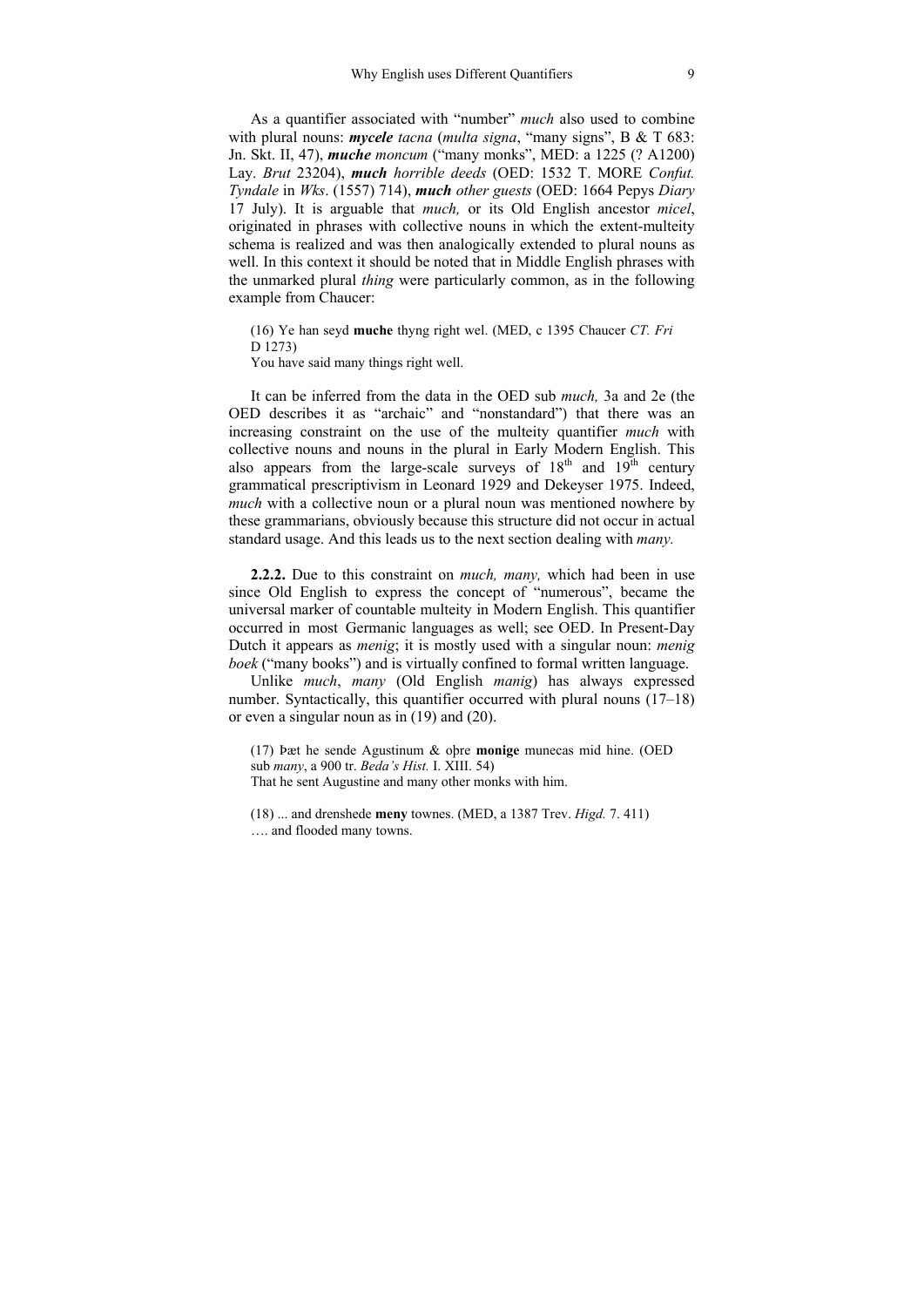As a quantifier associated with "number" *much* also used to combine with plural nouns: *mycele tacna* (*multa signa*, "many signs", B & T 683: Jn. Skt. II, 47), *muche moncum* ("many monks", MED: a 1225 (? A1200) Lay. *Brut* 23204), *much horrible deeds* (OED: 1532 T. MORE *Confut. Tyndale* in *Wks*. (1557) 714), *much other guests* (OED: 1664 Pepys *Diary*  17 July). It is arguable that *much,* or its Old English ancestor *micel*, originated in phrases with collective nouns in which the extent-multeity schema is realized and was then analogically extended to plural nouns as well. In this context it should be noted that in Middle English phrases with the unmarked plural *thing* were particularly common, as in the following example from Chaucer:

(16) Ye han seyd **muche** thyng right wel. (MED, c 1395 Chaucer *CT. Fri* D 1273) You have said many things right well.

It can be inferred from the data in the OED sub *much,* 3a and 2e (the OED describes it as "archaic" and "nonstandard") that there was an increasing constraint on the use of the multeity quantifier *much* with collective nouns and nouns in the plural in Early Modern English. This also appears from the large-scale surveys of  $18<sup>th</sup>$  and  $19<sup>th</sup>$  century grammatical prescriptivism in Leonard 1929 and Dekeyser 1975. Indeed, *much* with a collective noun or a plural noun was mentioned nowhere by these grammarians, obviously because this structure did not occur in actual standard usage. And this leads us to the next section dealing with *many.*

**2.2.2.** Due to this constraint on *much, many,* which had been in use since Old English to express the concept of "numerous", became the universal marker of countable multeity in Modern English. This quantifier occurred in most Germanic languages as well; see OED. In Present-Day Dutch it appears as *menig*; it is mostly used with a singular noun: *menig boek* ("many books") and is virtually confined to formal written language.

Unlike *much*, *many* (Old English *manig*) has always expressed number. Syntactically, this quantifier occurred with plural nouns (17–18) or even a singular noun as in (19) and (20).

(17) Þæt he sende Agustinum & oþre **monige** munecas mid hine. (OED sub *many*, a 900 tr. *Beda's Hist.* I. XIII. 54) That he sent Augustine and many other monks with him.

(18) ... and drenshede **meny** townes. (MED, a 1387 Trev. *Higd.* 7. 411) …. and flooded many towns.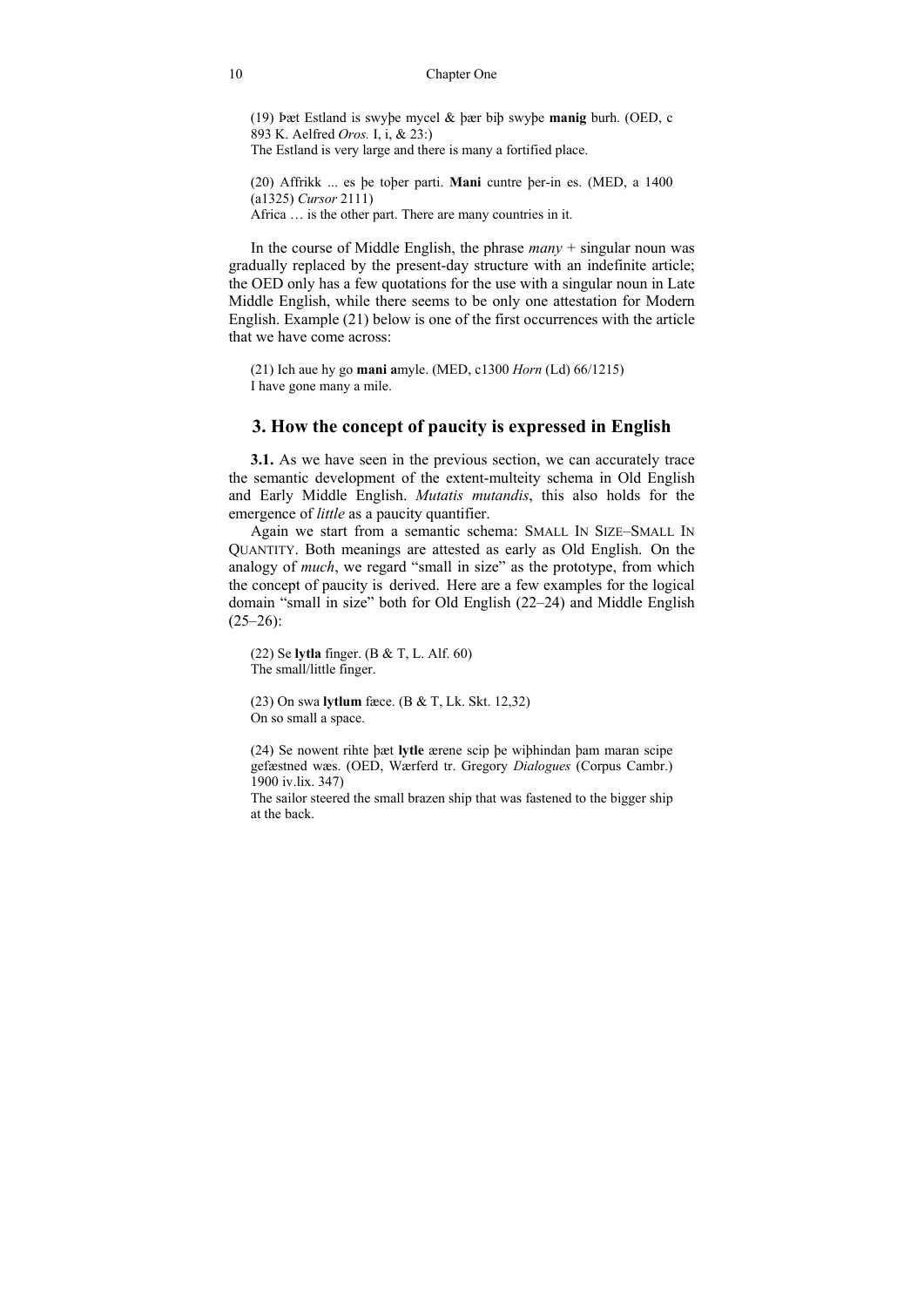#### **Chapter One**

(19) bæt Estland is swybe mycel  $\&$  bær bib swybe manig burh. (OED, c 893 K. Aelfred Oros. I, i, & 23.) The Estland is very large and there is many a fortified place.

(20) Affrikk ... es be tober parti. Mani cuntre ber-in es. (MED, a 1400  $(a1325)$  *Cursor* 2111) Africa ... is the other part. There are many countries in it.

In the course of Middle English, the phrase  $many + singular$  noun was gradually replaced by the present-day structure with an indefinite article; the OED only has a few quotations for the use with a singular noun in Late Middle English, while there seems to be only one attestation for Modern English. Example (21) below is one of the first occurrences with the article that we have come across:

 $(21)$  Ich aue hy go mani amyle. (MED, c1300 *Horn* (Ld) 66/1215) I have gone many a mile.

### 3. How the concept of paucity is expressed in English

**3.1.** As we have seen in the previous section, we can accurately trace the semantic development of the extent-multeity schema in Old English and Early Middle English. Mutatis mutandis, this also holds for the emergence of *little* as a paucity quantifier.

Again we start from a semantic schema: SMALL IN SIZE-SMALL IN QUANTITY. Both meanings are attested as early as Old English. On the analogy of *much*, we regard "small in size" as the prototype, from which the concept of paucity is derived. Here are a few examples for the logical domain "small in size" both for Old English (22–24) and Middle English  $(25-26)$ :

 $(22)$  Se lytla finger. (B & T, L. Alf. 60) The small/little finger.

(23) On swa **lytlum** fæce. (B & T, Lk. Skt. 12,32) On so small a space.

(24) Se nowent rihte bæt lytle ærene scip be wibhindan bam maran scipe gefæstned wæs. (OED, Wærferd tr. Gregory Dialogues (Corpus Cambr.) 1900 iv.lix. 347)

The sailor steered the small brazen ship that was fastened to the bigger ship at the back.

 $10$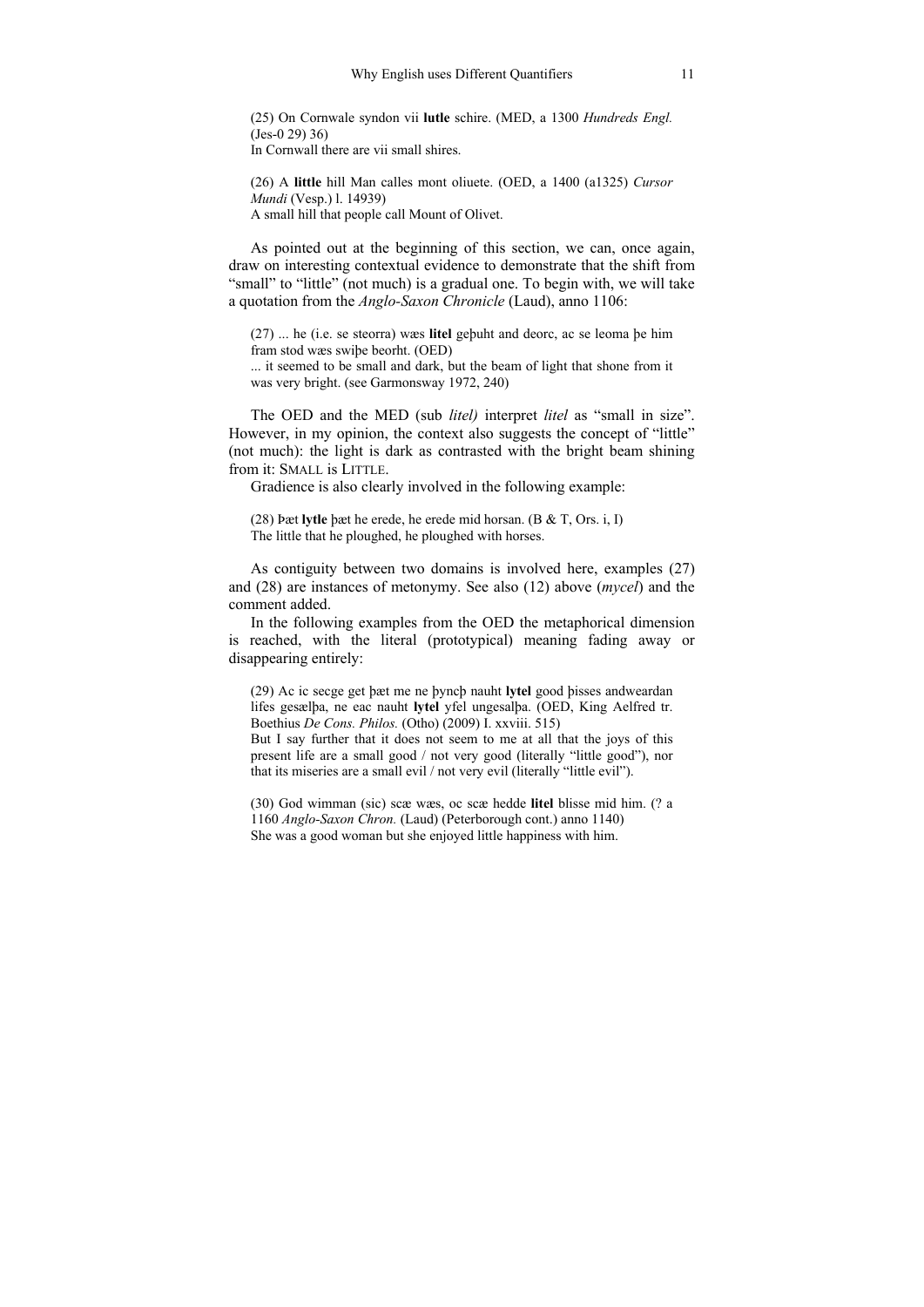(25) On Cornwale syndon vii lutle schire. (MED, a 1300 Hundreds Engl.  $(Jes-0 29) 36$ In Cornwall there are vii small shires

(26) A little hill Man calles mont oliuete. (OED, a 1400 (a1325) Cursor *Mundi* (Vesp.) 1. 14939) A small hill that people call Mount of Olivet.

As pointed out at the beginning of this section, we can, once again, draw on interesting contextual evidence to demonstrate that the shift from "small" to "little" (not much) is a gradual one. To begin with, we will take a quotation from the *Anglo-Saxon Chronicle* (Laud), anno 1106:

 $(27)$  ... he (i.e. se steorra) was litel gebuht and deore, ac se leoma be him fram stod wæs swibe beorht. (OED)

... it seemed to be small and dark, but the beam of light that shone from it was very bright. (see Garmonsway 1972, 240)

The OED and the MED (sub *litel)* interpret *litel* as "small in size". However, in my opinion, the context also suggests the concept of "little" (not much): the light is dark as contrasted with the bright beam shining from it: SMALL is LITTLE.

Gradience is also clearly involved in the following example:

 $(28)$  pæt **Ivtle** bæt he erede, he erede mid horsan,  $(B & T, Ors, i, I)$ The little that he ploughed, he ploughed with horses.

As contiguity between two domains is involved here, examples (27) and  $(28)$  are instances of metonymy. See also  $(12)$  above  $(m \vee c \vee c)$  and the comment added.

In the following examples from the OED the metaphorical dimension is reached, with the literal (prototypical) meaning fading away or disappearing entirely:

(29) Ac ic secge get bæt me ne bynch nauht lytel good bisses andweardan lifes gesælba, ne eac nauht lytel yfel ungesalba. (OED, King Aelfred tr. Boethius De Cons. Philos. (Otho) (2009) I. xxviii. 515)

But I say further that it does not seem to me at all that the joys of this present life are a small good / not very good (literally "little good"), nor that its miseries are a small evil / not very evil (literally "little evil").

(30) God wimman (sic) scæ wæs, oc scæ hedde litel blisse mid him. (? a 1160 Anglo-Saxon Chron. (Laud) (Peterborough cont.) anno 1140) She was a good woman but she enjoyed little happiness with him.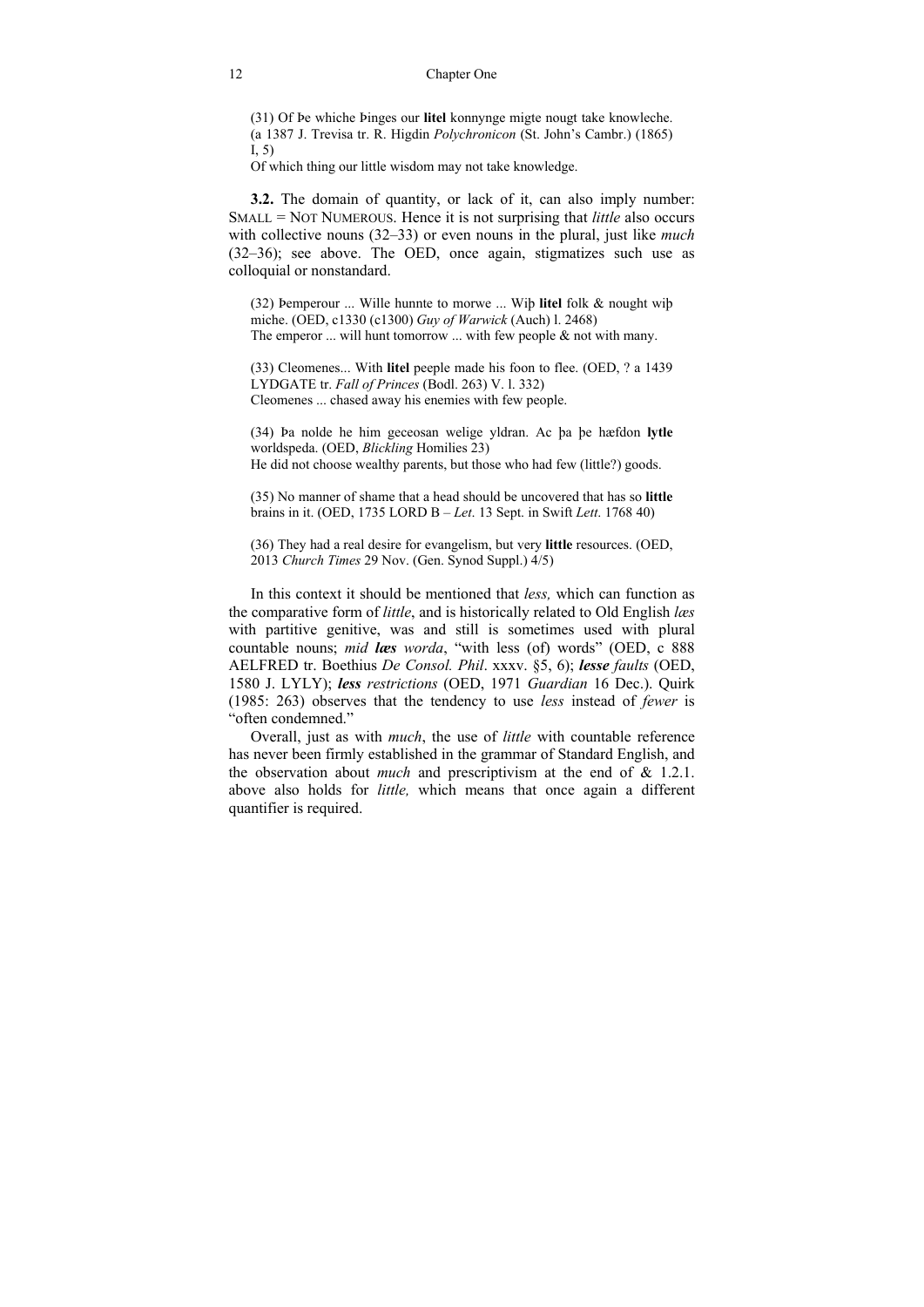#### 12 Chapter One

(31) Of Þe whiche Þinges our **litel** konnynge migte nougt take knowleche. (a 1387 J. Trevisa tr. R. Higdin *Polychronicon* (St. John's Cambr.) (1865)  $I.5$ 

Of which thing our little wisdom may not take knowledge.

**3.2.** The domain of quantity, or lack of it, can also imply number: SMALL = NOT NUMEROUS. Hence it is not surprising that *little* also occurs with collective nouns (32*‒*33) or even nouns in the plural, just like *much* (32*‒*36); see above. The OED, once again, stigmatizes such use as colloquial or nonstandard.

(32) Þemperour ... Wille hunnte to morwe ... Wiþ **litel** folk & nought wiþ miche. (OED, c1330 (c1300) *Guy of Warwick* (Auch) l. 2468) The emperor  $\ldots$  will hunt tomorrow  $\ldots$  with few people  $\&$  not with many.

(33) Cleomenes... With **litel** peeple made his foon to flee. (OED, ? a 1439 LYDGATE tr. *Fall of Princes* (Bodl. 263) V. l. 332) Cleomenes ... chased away his enemies with few people.

(34) Þa nolde he him geceosan welige yldran. Ac þa þe hæfdon **lytle**  worldspeda. (OED, *Blickling* Homilies 23) He did not choose wealthy parents, but those who had few (little?) goods.

(35) No manner of shame that a head should be uncovered that has so **little** brains in it. (OED, 1735 LORD B – *Let*. 13 Sept. in Swift *Lett*. 1768 40)

(36) They had a real desire for evangelism, but very **little** resources. (OED, 2013 *Church Times* 29 Nov. (Gen. Synod Suppl.) 4/5)

In this context it should be mentioned that *less,* which can function as the comparative form of *little*, and is historically related to Old English *læs*  with partitive genitive, was and still is sometimes used with plural countable nouns; *mid læs worda*, "with less (of) words" (OED, c 888 AELFRED tr. Boethius *De Consol. Phil*. xxxv. §5, 6); *lesse faults* (OED, 1580 J. LYLY); *less restrictions* (OED, 1971 *Guardian* 16 Dec.). Quirk (1985: 263) observes that the tendency to use *less* instead of *fewer* is "often condemned."

Overall, just as with *much*, the use of *little* with countable reference has never been firmly established in the grammar of Standard English, and the observation about *much* and prescriptivism at the end of & 1.2.1. above also holds for *little,* which means that once again a different quantifier is required.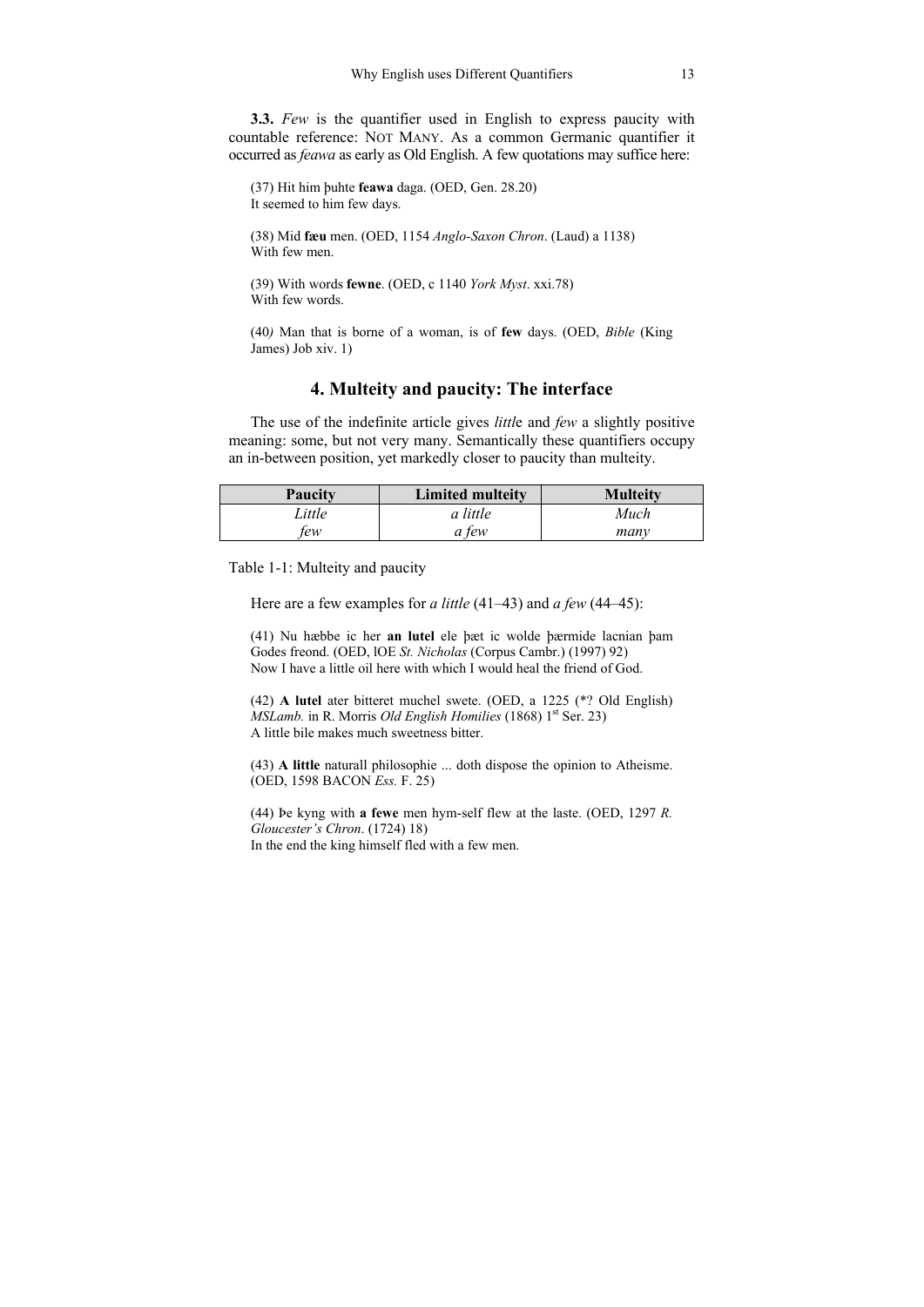**3.3.** *Few* is the quantifier used in English to express paucity with countable reference: NOT MANY. As a common Germanic quantifier it occurred as *feawa* as early as Old English. A few quotations may suffice here:

(37) Hit him þuhte **feawa** daga. (OED, Gen. 28.20) It seemed to him few days.

(38) Mid **fæu** men. (OED, 1154 *Anglo-Saxon Chron*. (Laud) a 1138) With few men

(39) With words **fewne**. (OED, c 1140 *York Myst*. xxi.78) With few words.

(40*)* Man that is borne of a woman, is of **few** days. (OED, *Bible* (King James) Job xiv. 1)

### **4. Multeity and paucity: The interface**

The use of the indefinite article gives *littl*e and *few* a slightly positive meaning: some, but not very many. Semantically these quantifiers occupy an in-between position, yet markedly closer to paucity than multeity.

| Paucity | <b>Limited multeity</b> | <b>Multeity</b> |
|---------|-------------------------|-----------------|
| Little  | a little                | Much            |
| ew      | tew                     | manv            |

Table 1-1: Multeity and paucity

Here are a few examples for *a little* (41*‒*43) and *a few* (44*‒*45):

(41) Nu hæbbe ic her **an lutel** ele þæt ic wolde þærmide lacnian þam Godes freond. (OED, lOE *St. Nicholas* (Corpus Cambr.) (1997) 92) Now I have a little oil here with which I would heal the friend of God.

(42) **A lutel** ater bitteret muchel swete. (OED, a 1225 (\*? Old English) *MSLamb.* in R. Morris *Old English Homilies* (1868) 1<sup>st</sup> Ser. 23) A little bile makes much sweetness bitter.

(43) **A little** naturall philosophie ... doth dispose the opinion to Atheisme. (OED, 1598 BACON *Ess.* F. 25)

(44) Þe kyng with **a fewe** men hym-self flew at the laste. (OED, 1297 *R. Gloucester's Chron*. (1724) 18) In the end the king himself fled with a few men.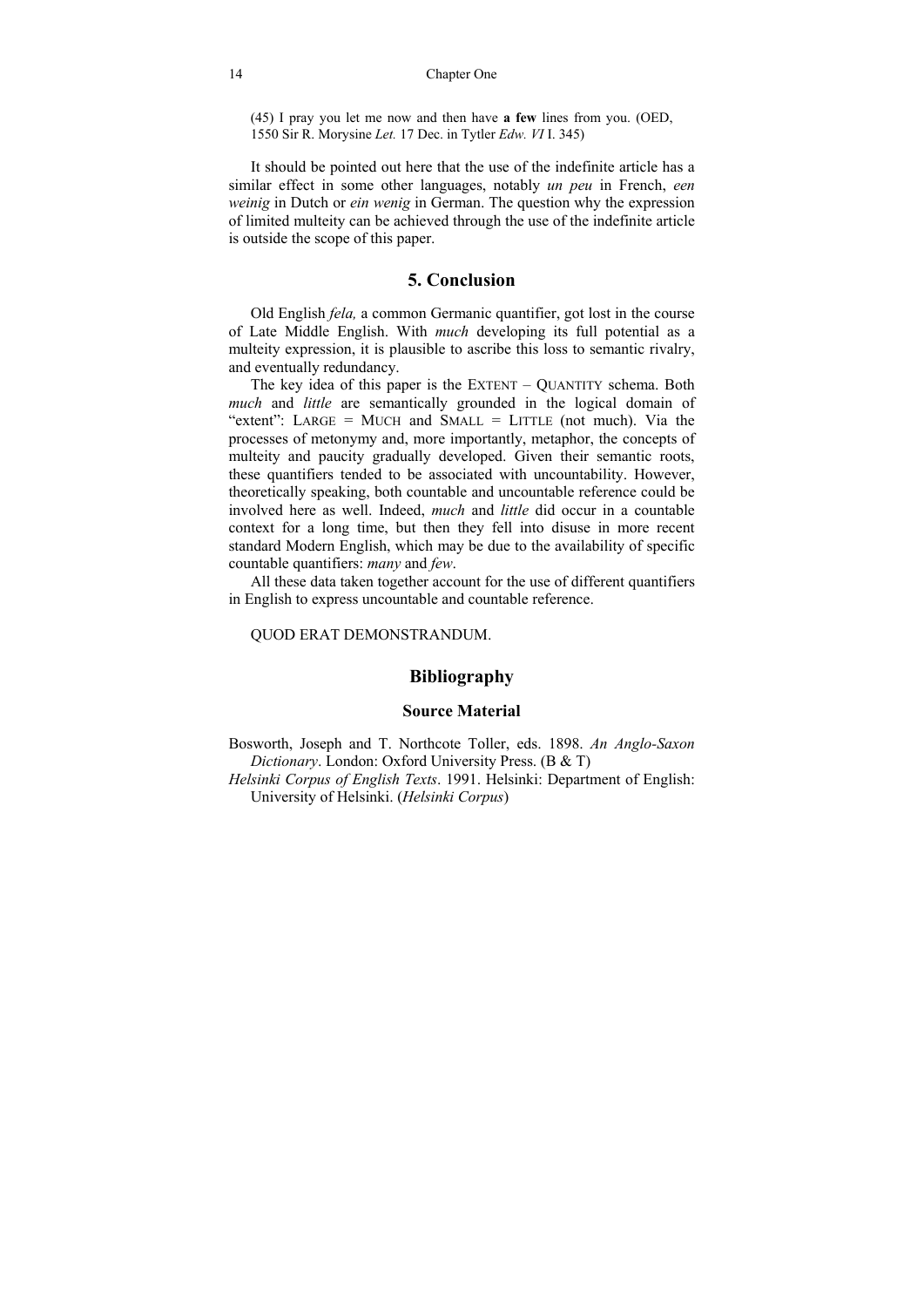#### 14 Chapter One

(45) I pray you let me now and then have **a few** lines from you. (OED, 1550 Sir R. Morysine *Let.* 17 Dec. in Tytler *Edw. VI* I. 345)

It should be pointed out here that the use of the indefinite article has a similar effect in some other languages, notably *un peu* in French, *een weinig* in Dutch or *ein wenig* in German. The question why the expression of limited multeity can be achieved through the use of the indefinite article is outside the scope of this paper.

### **5. Conclusion**

Old English *fela,* a common Germanic quantifier, got lost in the course of Late Middle English. With *much* developing its full potential as a multeity expression, it is plausible to ascribe this loss to semantic rivalry, and eventually redundancy.

The key idea of this paper is the EXTENT – QUANTITY schema. Both *much* and *little* are semantically grounded in the logical domain of "extent": LARGE = MUCH and SMALL = LITTLE (not much). Via the processes of metonymy and, more importantly, metaphor, the concepts of multeity and paucity gradually developed. Given their semantic roots, these quantifiers tended to be associated with uncountability. However, theoretically speaking, both countable and uncountable reference could be involved here as well. Indeed, *much* and *little* did occur in a countable context for a long time, but then they fell into disuse in more recent standard Modern English, which may be due to the availability of specific countable quantifiers: *many* and *few*.

All these data taken together account for the use of different quantifiers in English to express uncountable and countable reference.

QUOD ERAT DEMONSTRANDUM.

### **Bibliography**

#### **Source Material**

Bosworth, Joseph and T. Northcote Toller, eds. 1898. *An Anglo-Saxon Dictionary*. London: Oxford University Press. (B & T)

*Helsinki Corpus of English Texts*. 1991. Helsinki: Department of English: University of Helsinki. (*Helsinki Corpus*)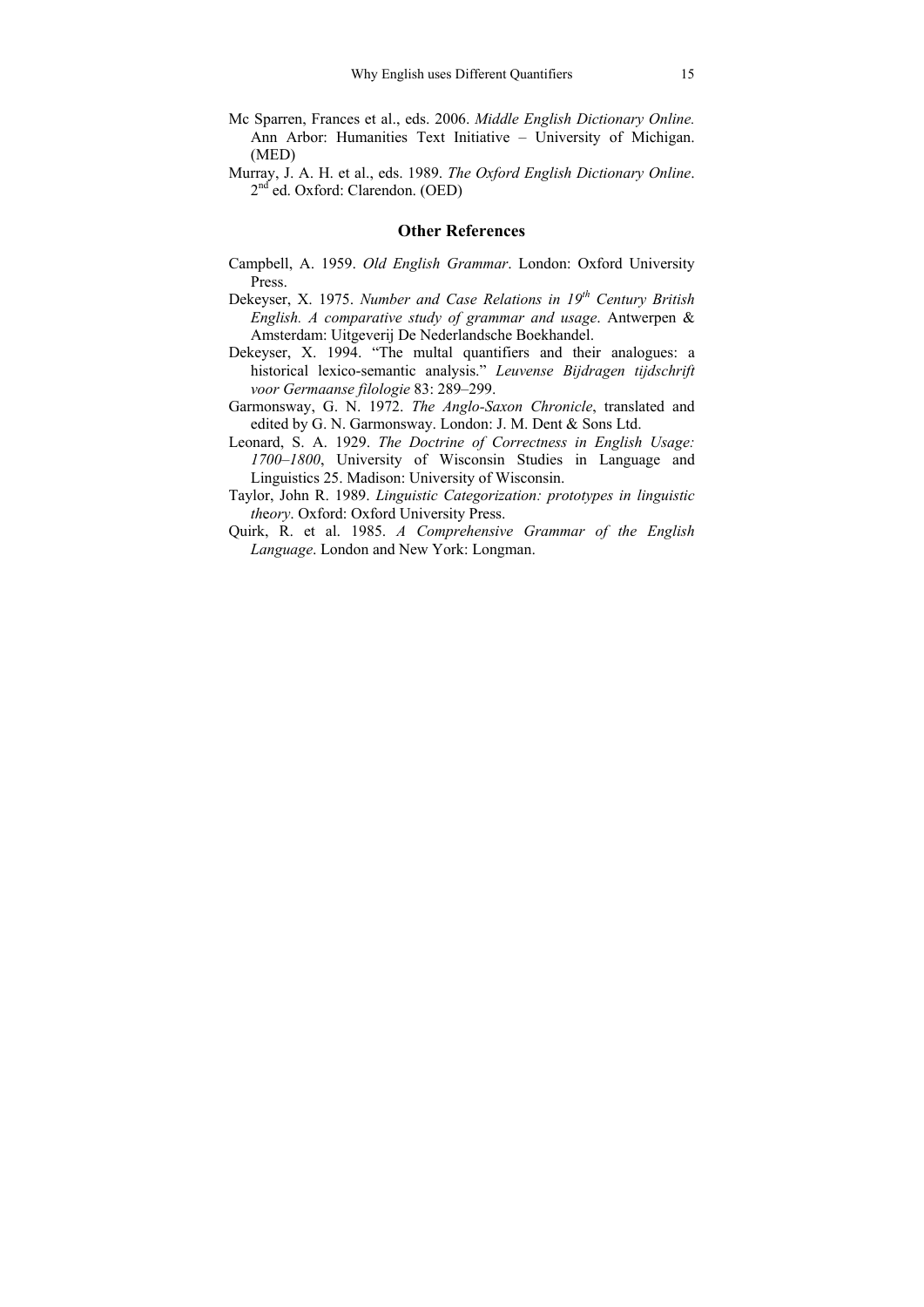- Mc Sparren, Frances et al., eds. 2006. *Middle English Dictionary Online.* Ann Arbor: Humanities Text Initiative – University of Michigan. (MED)
- Murray, J. A. H. et al., eds. 1989. *The Oxford English Dictionary Online*. 2<sup>nd</sup> ed. Oxford: Clarendon. (OED)

#### **Other References**

- Campbell, A. 1959. *Old English Grammar*. London: Oxford University Press.
- Dekeyser, X. 1975. *Number and Case Relations in 19<sup>th</sup> Century British English. A comparative study of grammar and usage*. Antwerpen & Amsterdam: Uitgeverij De Nederlandsche Boekhandel.
- Dekeyser, X. 1994. "The multal quantifiers and their analogues: a historical lexico-semantic analysis." *Leuvense Bijdragen tijdschrift voor Germaanse filologie* 83: 289*‒*299.
- Garmonsway, G. N. 1972. *The Anglo-Saxon Chronicle*, translated and edited by G. N. Garmonsway. London: J. M. Dent & Sons Ltd.
- Leonard, S. A. 1929. *The Doctrine of Correctness in English Usage: 1700‒1800*, University of Wisconsin Studies in Language and Linguistics 25. Madison: University of Wisconsin.
- Taylor, John R. 1989. *Linguistic Categorization: prototypes in linguistic th*e*ory*. Oxford: Oxford University Press.
- Quirk, R. et al. 1985. *A Comprehensive Grammar of the English Language*. London and New York: Longman.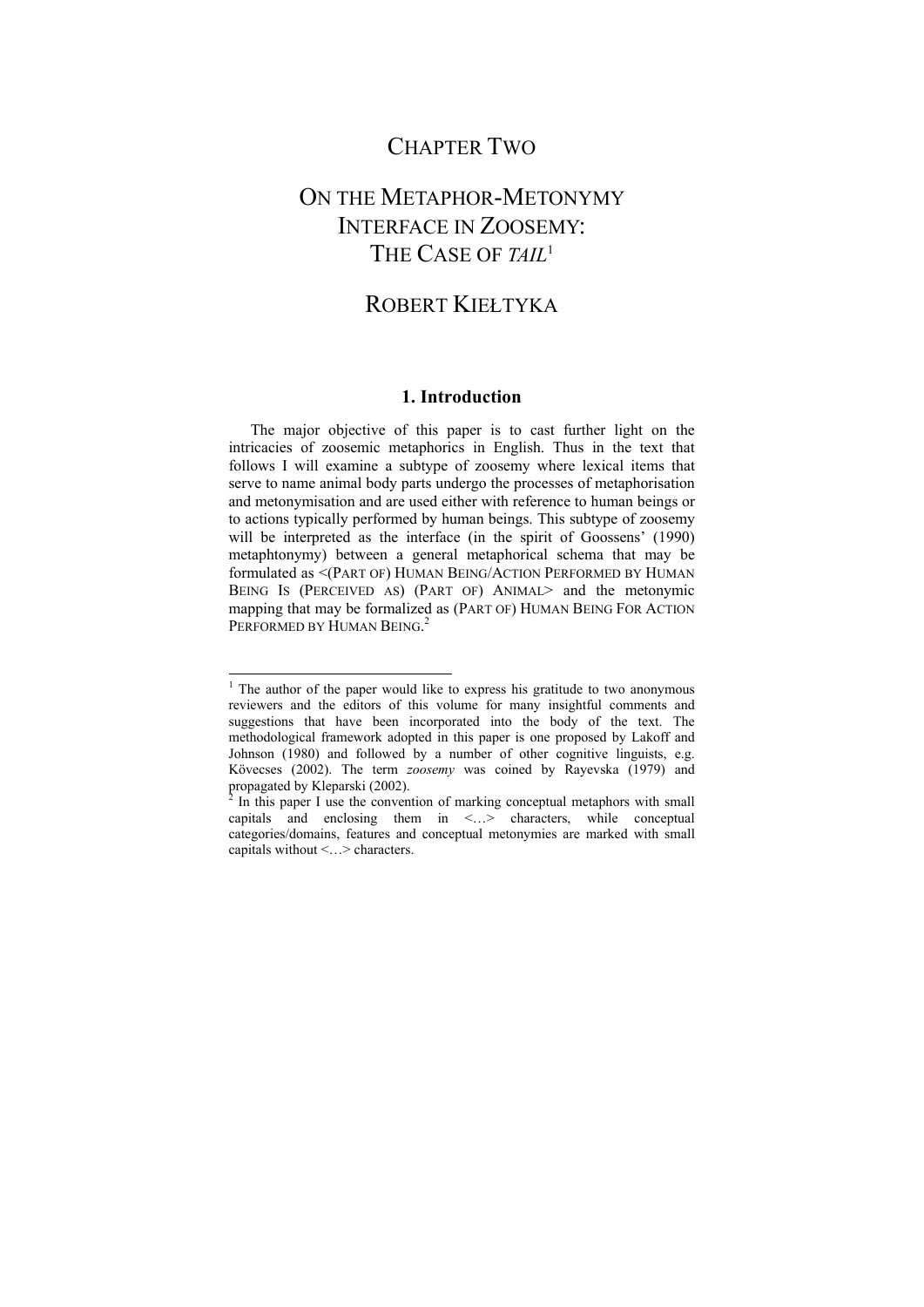### CHAPTER TWO

# ON THE METAPHOR-METONYMY INTERFACE IN ZOOSEMY: THE CASE OF *TAIL*<sup>1</sup>

## ROBERT KIEŁTYKA

### **1. Introduction**

The major objective of this paper is to cast further light on the intricacies of zoosemic metaphorics in English. Thus in the text that follows I will examine a subtype of zoosemy where lexical items that serve to name animal body parts undergo the processes of metaphorisation and metonymisation and are used either with reference to human beings or to actions typically performed by human beings. This subtype of zoosemy will be interpreted as the interface (in the spirit of Goossens' (1990) metaphtonymy) between a general metaphorical schema that may be formulated as <(PART OF) HUMAN BEING/ACTION PERFORMED BY HUMAN BEING IS (PERCEIVED AS) (PART OF) ANIMAL> and the metonymic mapping that may be formalized as (PART OF) HUMAN BEING FOR ACTION PERFORMED BY HUMAN BEING.<sup>2</sup>

-

<sup>&</sup>lt;sup>1</sup> The author of the paper would like to express his gratitude to two anonymous reviewers and the editors of this volume for many insightful comments and suggestions that have been incorporated into the body of the text. The methodological framework adopted in this paper is one proposed by Lakoff and Johnson (1980) and followed by a number of other cognitive linguists, e.g. Kövecses (2002). The term *zoosemy* was coined by Rayevska (1979) and propagated by Kleparski (2002).

 $2 \text{ In this paper I use the convention of marking conceptual metaphors with small }$ capitals and enclosing them in  $\leq$ ...> characters, while conceptual categories/domains, features and conceptual metonymies are marked with small capitals without <…> characters.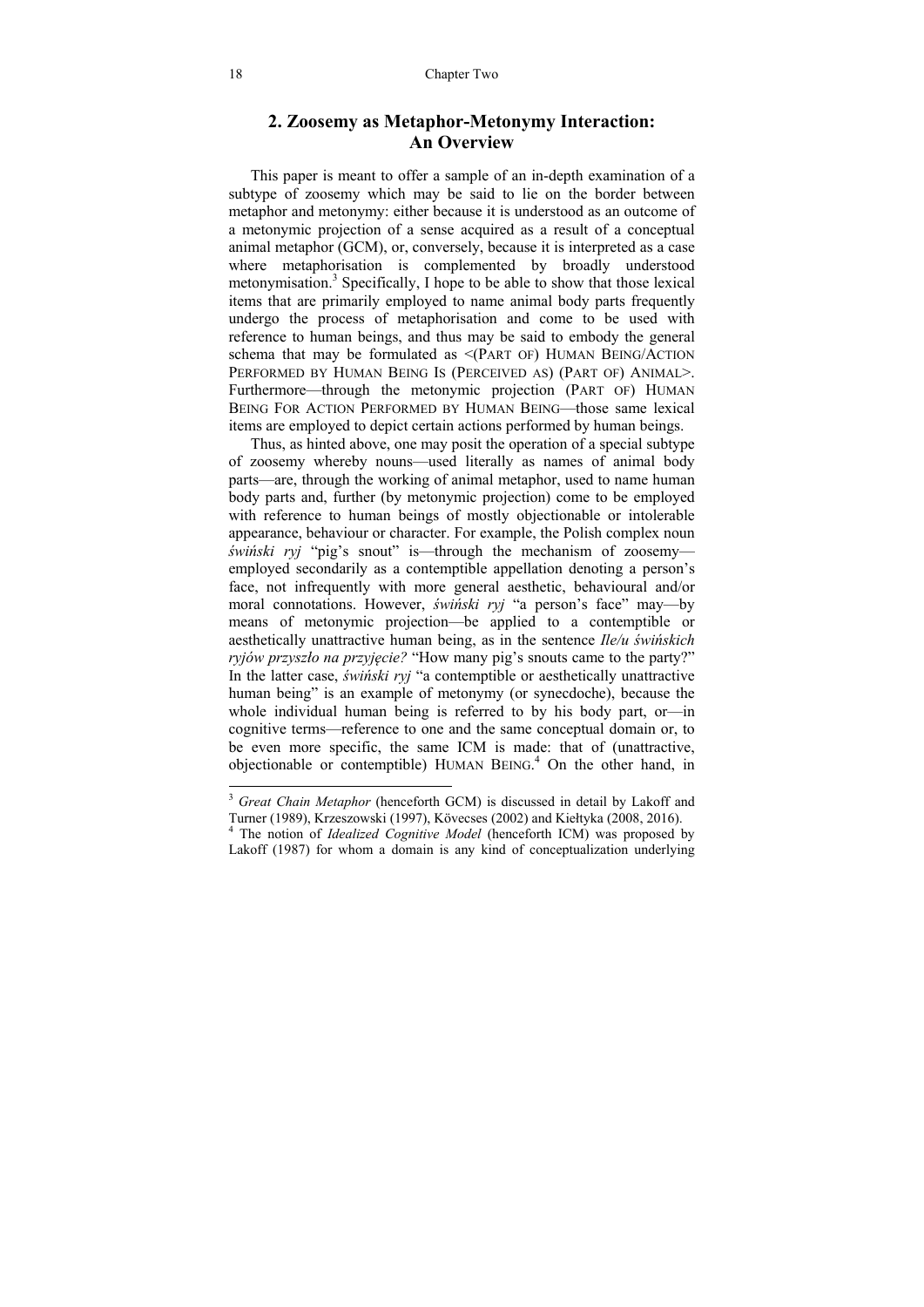### **2. Zoosemy as Metaphor-Metonymy Interaction: An Overview**

This paper is meant to offer a sample of an in-depth examination of a subtype of zoosemy which may be said to lie on the border between metaphor and metonymy: either because it is understood as an outcome of a metonymic projection of a sense acquired as a result of a conceptual animal metaphor (GCM), or, conversely, because it is interpreted as a case where metaphorisation is complemented by broadly understood metonymisation.<sup>3</sup> Specifically, I hope to be able to show that those lexical items that are primarily employed to name animal body parts frequently undergo the process of metaphorisation and come to be used with reference to human beings, and thus may be said to embody the general schema that may be formulated as <(PART OF) HUMAN BEING/ACTION PERFORMED BY HUMAN BEING IS (PERCEIVED AS) (PART OF) ANIMAL>. Furthermore—through the metonymic projection (PART OF) HUMAN BEING FOR ACTION PERFORMED BY HUMAN BEING—those same lexical items are employed to depict certain actions performed by human beings.

Thus, as hinted above, one may posit the operation of a special subtype of zoosemy whereby nouns—used literally as names of animal body parts—are, through the working of animal metaphor, used to name human body parts and, further (by metonymic projection) come to be employed with reference to human beings of mostly objectionable or intolerable appearance, behaviour or character. For example, the Polish complex noun *świński ryj* "pig's snout" is—through the mechanism of zoosemy employed secondarily as a contemptible appellation denoting a person's face, not infrequently with more general aesthetic, behavioural and/or moral connotations. However, *świński ryj* "a person's face" may—by means of metonymic projection—be applied to a contemptible or aesthetically unattractive human being, as in the sentence *Ile/u świńskich ryjów przyszło na przyjęcie?* "How many pig's snouts came to the party?" In the latter case, *świński ryj* "a contemptible or aesthetically unattractive human being" is an example of metonymy (or synecdoche), because the whole individual human being is referred to by his body part, or—in cognitive terms—reference to one and the same conceptual domain or, to be even more specific, the same ICM is made: that of (unattractive, objectionable or contemptible) HUMAN BEING. 4 On the other hand, in

l

<sup>&</sup>lt;sup>3</sup> Great Chain Metaphor (henceforth GCM) is discussed in detail by Lakoff and Turner (1989), Krzeszowski (1997), Kövecses (2002) and Kiełtyka (2008, 2016). 4

<sup>&</sup>lt;sup>4</sup> The notion of *Idealized Cognitive Model* (henceforth ICM) was proposed by Lakoff (1987) for whom a domain is any kind of conceptualization underlying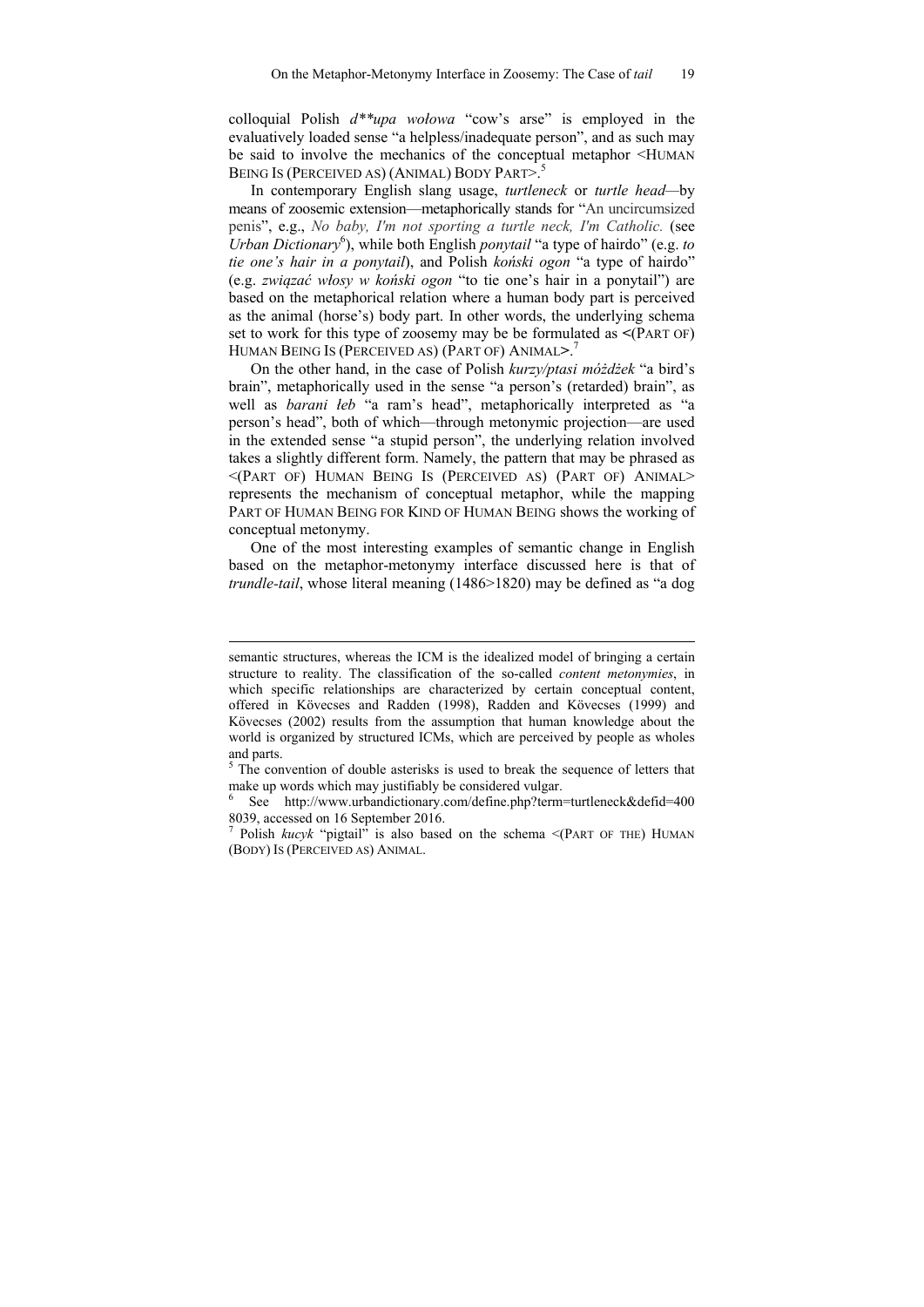colloquial Polish *d\*\*upa wołowa* "cow's arse" is employed in the evaluatively loaded sense "a helpless/inadequate person", and as such may be said to involve the mechanics of the conceptual metaphor <HUMAN BEING IS (PERCEIVED AS) (ANIMAL) BODY PART>.<sup>5</sup>

In contemporary English slang usage, *turtleneck* or *turtle head—*by means of zoosemic extension—metaphorically stands for "An uncircumsized penis", e.g., *No baby, I'm not sporting a turtle neck, I'm Catholic.* (see Urban Dictionary<sup>6</sup>), while both English *ponytail* "a type of hairdo" (e.g. *to tie one's hair in a ponytail*), and Polish *koński ogon* "a type of hairdo" (e.g. *związać włosy w koński ogon* "to tie one's hair in a ponytail") are based on the metaphorical relation where a human body part is perceived as the animal (horse's) body part. In other words, the underlying schema set to work for this type of zoosemy may be be formulated as **<**(PART OF) HUMAN BEING IS (PERCEIVED AS) (PART OF) ANIMAL**>**. 7

On the other hand, in the case of Polish *kurzy/ptasi móżdżek* "a bird's brain", metaphorically used in the sense "a person's (retarded) brain", as well as *barani łeb* "a ram's head", metaphorically interpreted as "a person's head", both of which—through metonymic projection—are used in the extended sense "a stupid person", the underlying relation involved takes a slightly different form. Namely, the pattern that may be phrased as <(PART OF) HUMAN BEING IS (PERCEIVED AS) (PART OF) ANIMAL> represents the mechanism of conceptual metaphor, while the mapping PART OF HUMAN BEING FOR KIND OF HUMAN BEING shows the working of conceptual metonymy.

One of the most interesting examples of semantic change in English based on the metaphor-metonymy interface discussed here is that of *trundle-tail*, whose literal meaning (1486>1820) may be defined as "a dog

-

semantic structures, whereas the ICM is the idealized model of bringing a certain structure to reality. The classification of the so-called *content metonymies*, in which specific relationships are characterized by certain conceptual content, offered in Kövecses and Radden (1998), Radden and Kövecses (1999) and Kövecses (2002) results from the assumption that human knowledge about the world is organized by structured ICMs, which are perceived by people as wholes and parts.

<sup>&</sup>lt;sup>5</sup> The convention of double asterisks is used to break the sequence of letters that make up words which may justifiably be considered vulgar. 6

See http://www.urbandictionary.com/define.php?term=turtleneck&defid=400 8039, accessed on 16 September 2016.

<sup>7</sup> Polish *kucyk* "pigtail" is also based on the schema <(PART OF THE) HUMAN (BODY) IS (PERCEIVED AS) ANIMAL.